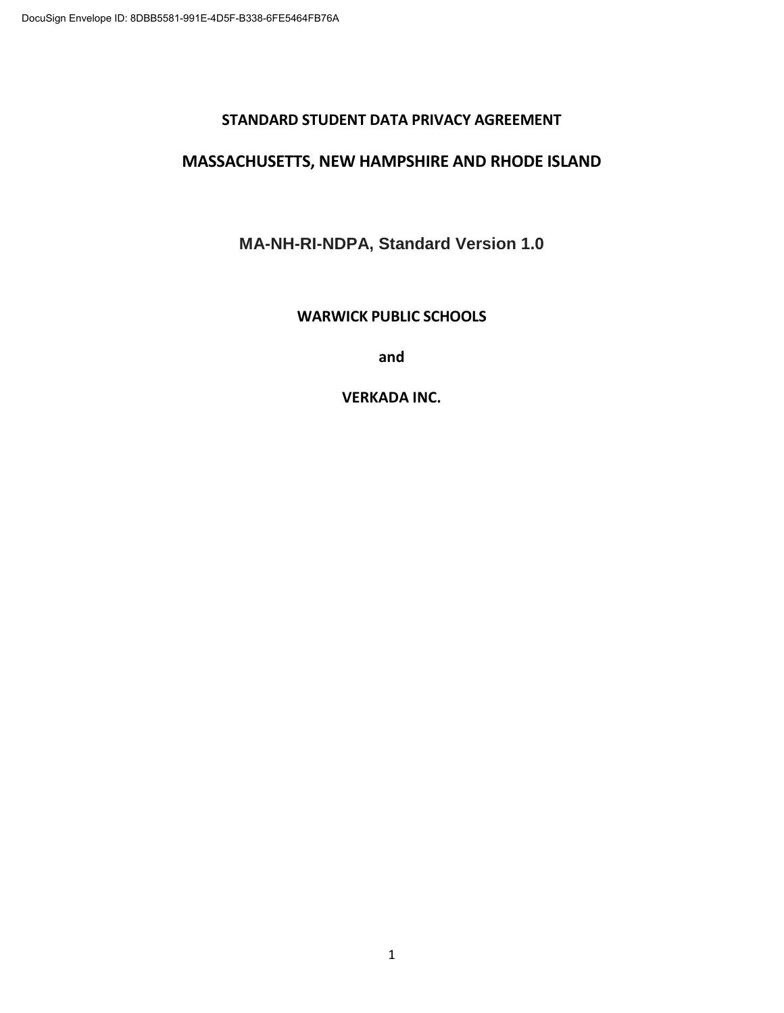#### **STANDARD STUDENT DATA PRIVACY AGREEMENT**

#### **MASSACHUSETTS, NEW HAMPSHIRE AND RHODE ISLAND**

**MA-NH-RI-NDPA, Standard Version 1.0**

#### **WARWICK PUBLIC SCHOOLS**

**and** 

**VERKADA INC.**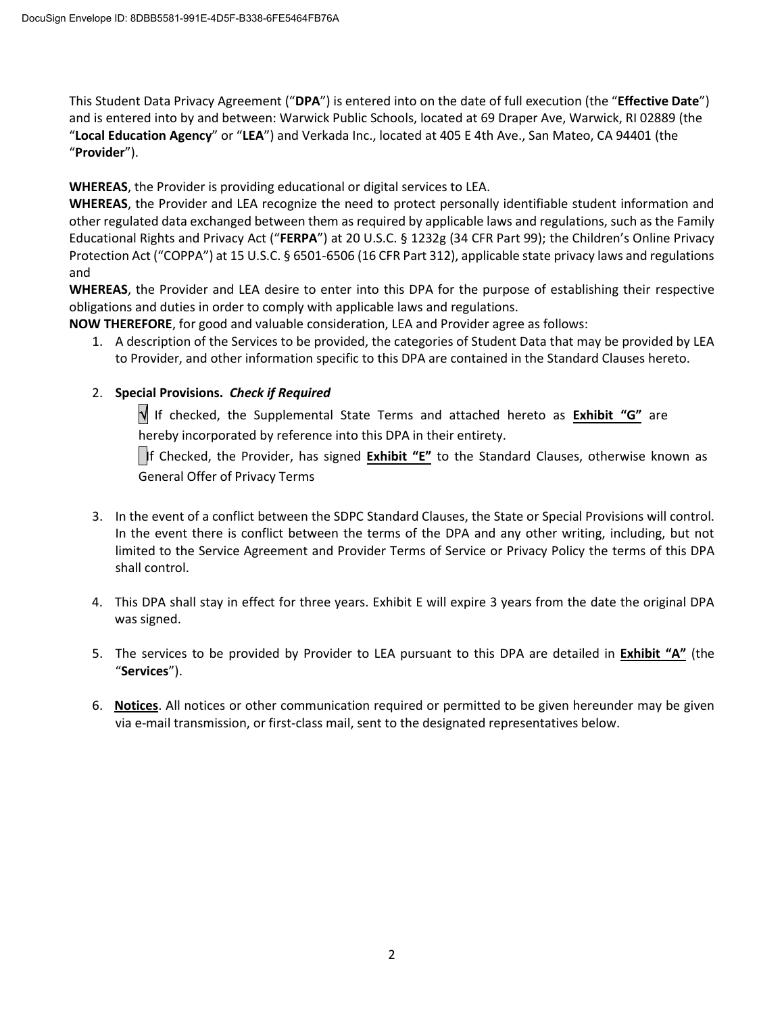This Student Data Privacy Agreement ("**DPA**") is entered into on the date of full execution (the "**Effective Date**") and is entered into by and between: Warwick Public Schools, located at 69 Draper Ave, Warwick, RI 02889 (the "**Local Education Agency**" or "**LEA**") and Verkada Inc., located at 405 E 4th Ave., San Mateo, CA 94401 (the "**Provider**").

**WHEREAS**, the Provider is providing educational or digital services to LEA.

**WHEREAS**, the Provider and LEA recognize the need to protect personally identifiable student information and other regulated data exchanged between them as required by applicable laws and regulations, such as the Family Educational Rights and Privacy Act ("**FERPA**") at 20 U.S.C. § 1232g (34 CFR Part 99); the Children's Online Privacy Protection Act ("COPPA") at 15 U.S.C. § 6501-6506 (16 CFR Part 312), applicable state privacy laws and regulations and

**WHEREAS**, the Provider and LEA desire to enter into this DPA for the purpose of establishing their respective obligations and duties in order to comply with applicable laws and regulations.

**NOW THEREFORE**, for good and valuable consideration, LEA and Provider agree as follows:

1. A description of the Services to be provided, the categories of Student Data that may be provided by LEA to Provider, and other information specific to this DPA are contained in the Standard Clauses hereto.

#### 2. **Special Provisions.** *Check if Required*

√If checked, the Supplemental State Terms and attached hereto as **Exhibit "G"** are hereby incorporated by reference into this DPA in their entirety.

If Checked, the Provider, has signed **Exhibit "E"** to the Standard Clauses, otherwise known as General Offer of Privacy Terms

- 3. In the event of a conflict between the SDPC Standard Clauses, the State or Special Provisions will control. In the event there is conflict between the terms of the DPA and any other writing, including, but not limited to the Service Agreement and Provider Terms of Service or Privacy Policy the terms of this DPA shall control.
- 4. This DPA shall stay in effect for three years. Exhibit E will expire 3 years from the date the original DPA was signed.
- 5. The services to be provided by Provider to LEA pursuant to this DPA are detailed in **Exhibit "A"** (the "**Services**").
- 6. **Notices**. All notices or other communication required or permitted to be given hereunder may be given via e-mail transmission, or first-class mail, sent to the designated representatives below.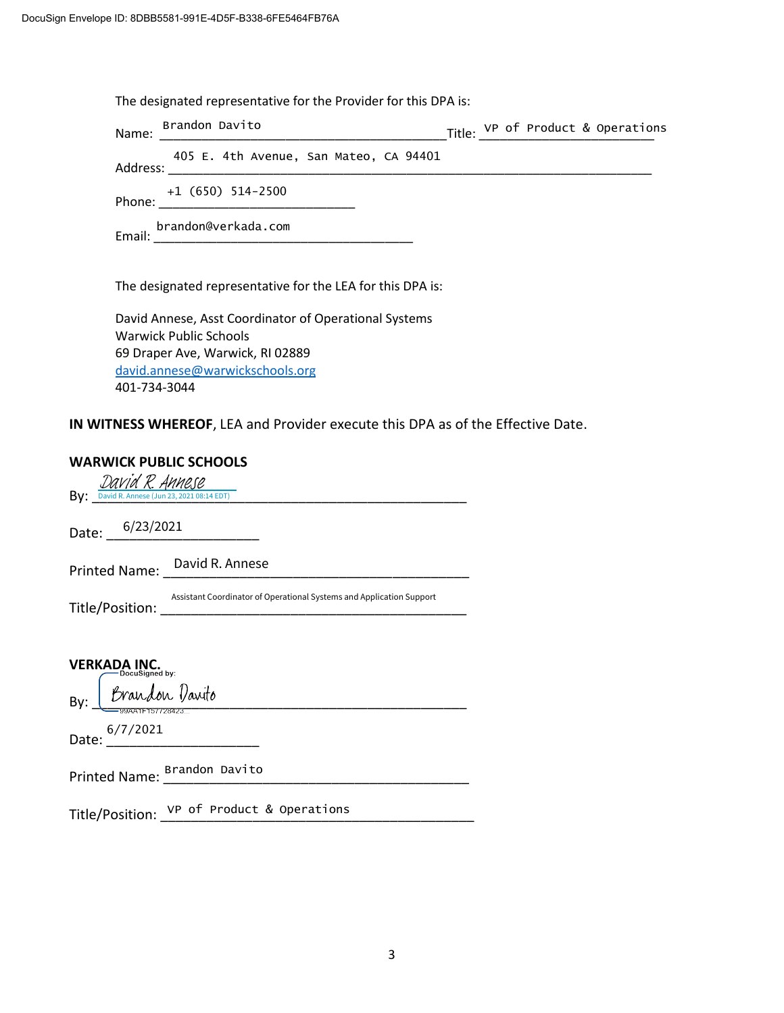The designated representative for the Provider for this DPA is:

| Name:    | Brandon Davito                         |  |  | Title: VP of Product & Operations |
|----------|----------------------------------------|--|--|-----------------------------------|
| Address: | 405 E. 4th Avenue, San Mateo, CA 94401 |  |  |                                   |
| Phone:   | $+1$ (650) 514-2500                    |  |  |                                   |
| Email:   | brandon@verkada.com                    |  |  |                                   |
|          |                                        |  |  |                                   |

The designated representative for the LEA for this DPA is:

David Annese, Asst Coordinator of Operational Systems Warwick Public Schools 69 Draper Ave, Warwick, RI 02889 david.annese@warwickschools.org 401-734-3044

**IN WITNESS WHEREOF**, LEA and Provider execute this DPA as of the Effective Date.

#### **WARWICK PUBLIC SCHOOLS**

| By: David R. Annese (Jun 23, 2021 08:14 EDT)                                                                                                                |  |  |  |  |
|-------------------------------------------------------------------------------------------------------------------------------------------------------------|--|--|--|--|
| Date: $\frac{6/23/2021}{2}$                                                                                                                                 |  |  |  |  |
| Printed Name: David R. Annese<br><u> 2008 - Jan Berlin, mars et al. 1989 - Jan Berlin, mars et al. 1989 - Jan Berlin, mars et al. 1989 - Jan Berlin, ma</u> |  |  |  |  |
| Assistant Coordinator of Operational Systems and Application Support                                                                                        |  |  |  |  |
|                                                                                                                                                             |  |  |  |  |
| <b>VERKADA INC.</b><br>DocuSianed bv:                                                                                                                       |  |  |  |  |
| By: Brandon Davito                                                                                                                                          |  |  |  |  |
| Date: <sup>6/7/2021</sup>                                                                                                                                   |  |  |  |  |
| Printed Name: Brandon Davito                                                                                                                                |  |  |  |  |
| Title/Position: VP of Product & Operations                                                                                                                  |  |  |  |  |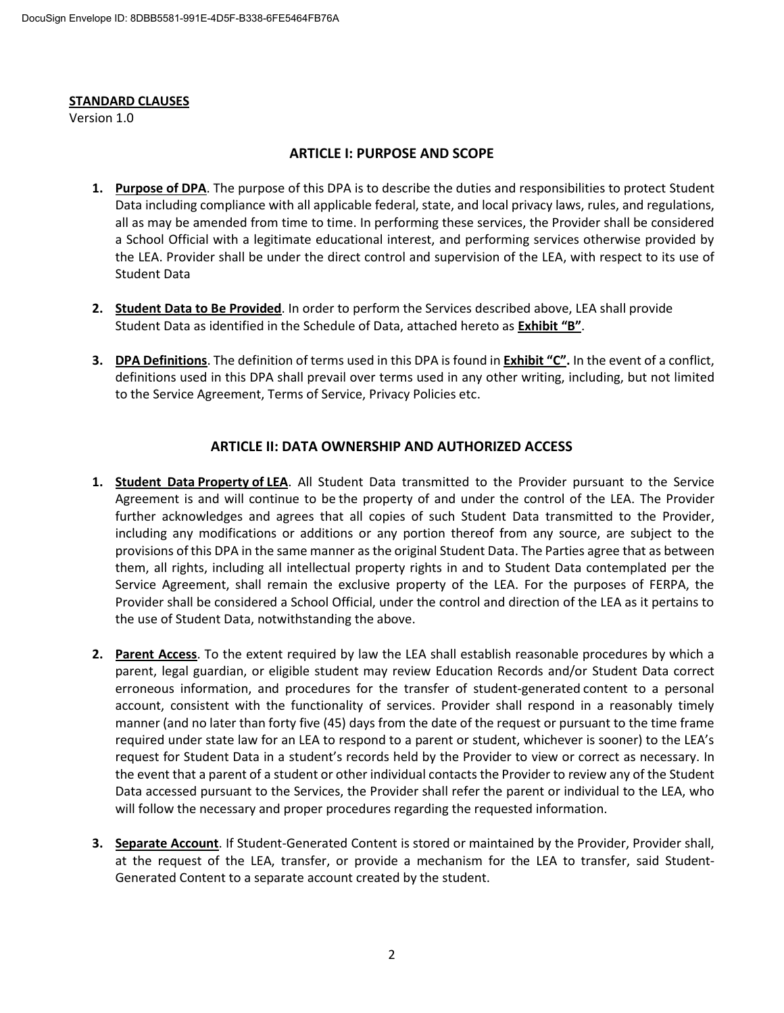#### **STANDARD CLAUSES**

Version 1.0

#### **ARTICLE I: PURPOSE AND SCOPE**

- **1. Purpose of DPA**. The purpose of this DPA is to describe the duties and responsibilities to protect Student Data including compliance with all applicable federal, state, and local privacy laws, rules, and regulations, all as may be amended from time to time. In performing these services, the Provider shall be considered a School Official with a legitimate educational interest, and performing services otherwise provided by the LEA. Provider shall be under the direct control and supervision of the LEA, with respect to its use of Student Data
- **2. Student Data to Be Provided**. In order to perform the Services described above, LEA shall provide Student Data as identified in the Schedule of Data, attached hereto as **Exhibit "B"**.
- **3. DPA Definitions**. The definition of terms used in this DPA is found in **Exhibit "C".** In the event of a conflict, definitions used in this DPA shall prevail over terms used in any other writing, including, but not limited to the Service Agreement, Terms of Service, Privacy Policies etc.

#### **ARTICLE II: DATA OWNERSHIP AND AUTHORIZED ACCESS**

- **1. Student Data Property of LEA**. All Student Data transmitted to the Provider pursuant to the Service Agreement is and will continue to be the property of and under the control of the LEA. The Provider further acknowledges and agrees that all copies of such Student Data transmitted to the Provider, including any modifications or additions or any portion thereof from any source, are subject to the provisions of this DPA in the same manner as the original Student Data. The Parties agree that as between them, all rights, including all intellectual property rights in and to Student Data contemplated per the Service Agreement, shall remain the exclusive property of the LEA. For the purposes of FERPA, the Provider shall be considered a School Official, under the control and direction of the LEA as it pertains to the use of Student Data, notwithstanding the above.
- **2. Parent Access**. To the extent required by law the LEA shall establish reasonable procedures by which a parent, legal guardian, or eligible student may review Education Records and/or Student Data correct erroneous information, and procedures for the transfer of student-generated content to a personal account, consistent with the functionality of services. Provider shall respond in a reasonably timely manner (and no later than forty five (45) days from the date of the request or pursuant to the time frame required under state law for an LEA to respond to a parent or student, whichever is sooner) to the LEA's request for Student Data in a student's records held by the Provider to view or correct as necessary. In the event that a parent of a student or other individual contacts the Provider to review any of the Student Data accessed pursuant to the Services, the Provider shall refer the parent or individual to the LEA, who will follow the necessary and proper procedures regarding the requested information.
- **3. Separate Account**. If Student-Generated Content is stored or maintained by the Provider, Provider shall, at the request of the LEA, transfer, or provide a mechanism for the LEA to transfer, said Student-Generated Content to a separate account created by the student.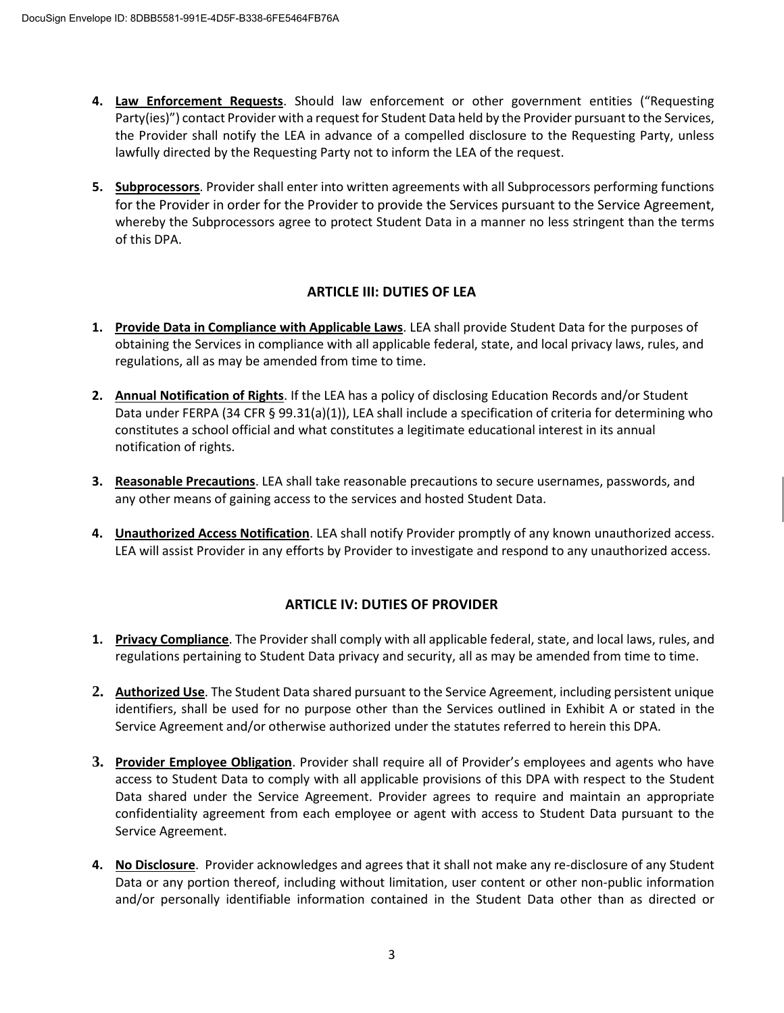- **4. Law Enforcement Requests**. Should law enforcement or other government entities ("Requesting Party(ies)") contact Provider with a request for Student Data held by the Provider pursuant to the Services, the Provider shall notify the LEA in advance of a compelled disclosure to the Requesting Party, unless lawfully directed by the Requesting Party not to inform the LEA of the request.
- **5. Subprocessors**. Provider shall enter into written agreements with all Subprocessors performing functions for the Provider in order for the Provider to provide the Services pursuant to the Service Agreement, whereby the Subprocessors agree to protect Student Data in a manner no less stringent than the terms of this DPA.

#### **ARTICLE III: DUTIES OF LEA**

- **1. Provide Data in Compliance with Applicable Laws**. LEA shall provide Student Data for the purposes of obtaining the Services in compliance with all applicable federal, state, and local privacy laws, rules, and regulations, all as may be amended from time to time.
- **2. Annual Notification of Rights**. If the LEA has a policy of disclosing Education Records and/or Student Data under FERPA (34 CFR § 99.31(a)(1)), LEA shall include a specification of criteria for determining who constitutes a school official and what constitutes a legitimate educational interest in its annual notification of rights.
- **3. Reasonable Precautions**. LEA shall take reasonable precautions to secure usernames, passwords, and any other means of gaining access to the services and hosted Student Data.
- **4. Unauthorized Access Notification**. LEA shall notify Provider promptly of any known unauthorized access. LEA will assist Provider in any efforts by Provider to investigate and respond to any unauthorized access.

#### **ARTICLE IV: DUTIES OF PROVIDER**

- **1. Privacy Compliance**. The Provider shall comply with all applicable federal, state, and local laws, rules, and regulations pertaining to Student Data privacy and security, all as may be amended from time to time.
- **2. Authorized Use**. The Student Data shared pursuant to the Service Agreement, including persistent unique identifiers, shall be used for no purpose other than the Services outlined in Exhibit A or stated in the Service Agreement and/or otherwise authorized under the statutes referred to herein this DPA.
- **3. Provider Employee Obligation**. Provider shall require all of Provider's employees and agents who have access to Student Data to comply with all applicable provisions of this DPA with respect to the Student Data shared under the Service Agreement. Provider agrees to require and maintain an appropriate confidentiality agreement from each employee or agent with access to Student Data pursuant to the Service Agreement.
- **4. No Disclosure**. Provider acknowledges and agrees that it shall not make any re-disclosure of any Student Data or any portion thereof, including without limitation, user content or other non-public information and/or personally identifiable information contained in the Student Data other than as directed or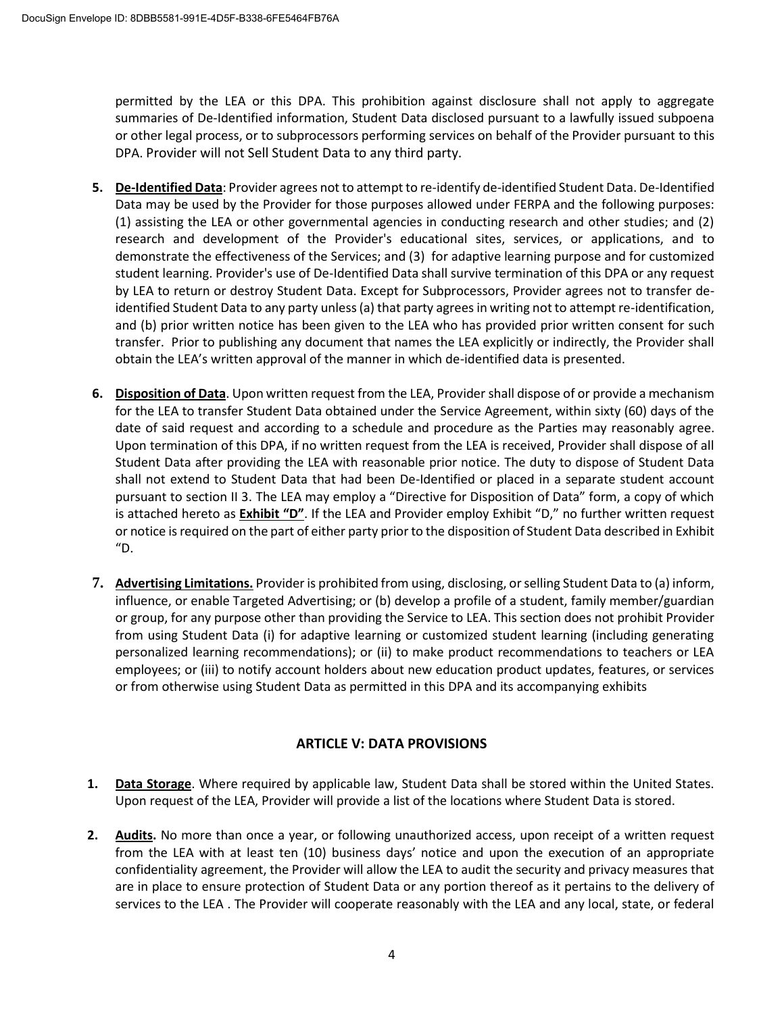permitted by the LEA or this DPA. This prohibition against disclosure shall not apply to aggregate summaries of De-Identified information, Student Data disclosed pursuant to a lawfully issued subpoena or other legal process, or to subprocessors performing services on behalf of the Provider pursuant to this DPA. Provider will not Sell Student Data to any third party.

- **5. De-Identified Data**: Provider agrees not to attempt to re-identify de-identified Student Data. De-Identified Data may be used by the Provider for those purposes allowed under FERPA and the following purposes: (1) assisting the LEA or other governmental agencies in conducting research and other studies; and (2) research and development of the Provider's educational sites, services, or applications, and to demonstrate the effectiveness of the Services; and (3) for adaptive learning purpose and for customized student learning. Provider's use of De-Identified Data shall survive termination of this DPA or any request by LEA to return or destroy Student Data. Except for Subprocessors, Provider agrees not to transfer deidentified Student Data to any party unless (a) that party agrees in writing not to attempt re-identification, and (b) prior written notice has been given to the LEA who has provided prior written consent for such transfer. Prior to publishing any document that names the LEA explicitly or indirectly, the Provider shall obtain the LEA's written approval of the manner in which de-identified data is presented.
- **6. Disposition of Data**. Upon written request from the LEA, Provider shall dispose of or provide a mechanism for the LEA to transfer Student Data obtained under the Service Agreement, within sixty (60) days of the date of said request and according to a schedule and procedure as the Parties may reasonably agree. Upon termination of this DPA, if no written request from the LEA is received, Provider shall dispose of all Student Data after providing the LEA with reasonable prior notice. The duty to dispose of Student Data shall not extend to Student Data that had been De-Identified or placed in a separate student account pursuant to section II 3. The LEA may employ a "Directive for Disposition of Data" form, a copy of which is attached hereto as **Exhibit "D"**. If the LEA and Provider employ Exhibit "D," no further written request or notice is required on the part of either party prior to the disposition of Student Data described in Exhibit "D.
- **7. Advertising Limitations.** Provider is prohibited from using, disclosing, or selling Student Data to (a) inform, influence, or enable Targeted Advertising; or (b) develop a profile of a student, family member/guardian or group, for any purpose other than providing the Service to LEA. This section does not prohibit Provider from using Student Data (i) for adaptive learning or customized student learning (including generating personalized learning recommendations); or (ii) to make product recommendations to teachers or LEA employees; or (iii) to notify account holders about new education product updates, features, or services or from otherwise using Student Data as permitted in this DPA and its accompanying exhibits

#### **ARTICLE V: DATA PROVISIONS**

- **1. Data Storage**. Where required by applicable law, Student Data shall be stored within the United States. Upon request of the LEA, Provider will provide a list of the locations where Student Data is stored.
- **2. Audits.** No more than once a year, or following unauthorized access, upon receipt of a written request from the LEA with at least ten (10) business days' notice and upon the execution of an appropriate confidentiality agreement, the Provider will allow the LEA to audit the security and privacy measures that are in place to ensure protection of Student Data or any portion thereof as it pertains to the delivery of services to the LEA . The Provider will cooperate reasonably with the LEA and any local, state, or federal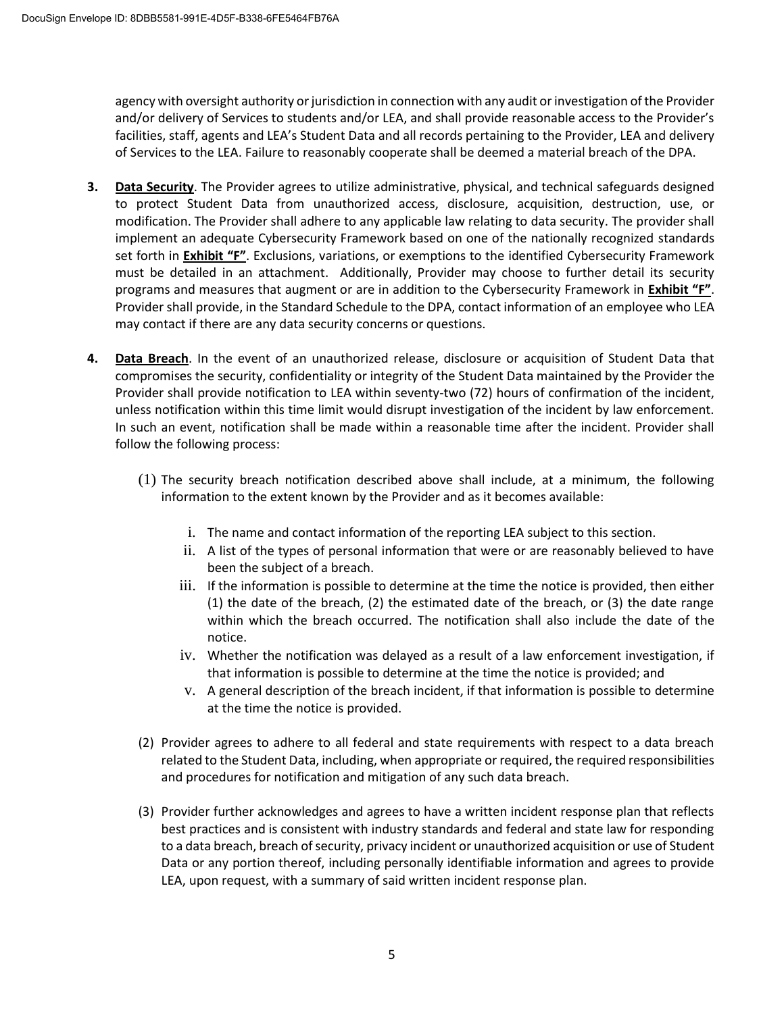agency with oversight authority or jurisdiction in connection with any audit or investigation of the Provider and/or delivery of Services to students and/or LEA, and shall provide reasonable access to the Provider's facilities, staff, agents and LEA's Student Data and all records pertaining to the Provider, LEA and delivery of Services to the LEA. Failure to reasonably cooperate shall be deemed a material breach of the DPA.

- **3. Data Security**. The Provider agrees to utilize administrative, physical, and technical safeguards designed to protect Student Data from unauthorized access, disclosure, acquisition, destruction, use, or modification. The Provider shall adhere to any applicable law relating to data security. The provider shall implement an adequate Cybersecurity Framework based on one of the nationally recognized standards set forth in **Exhibit "F"**. Exclusions, variations, or exemptions to the identified Cybersecurity Framework must be detailed in an attachment. Additionally, Provider may choose to further detail its security programs and measures that augment or are in addition to the Cybersecurity Framework in **Exhibit "F"**. Provider shall provide, in the Standard Schedule to the DPA, contact information of an employee who LEA may contact if there are any data security concerns or questions.
- **4. Data Breach**. In the event of an unauthorized release, disclosure or acquisition of Student Data that compromises the security, confidentiality or integrity of the Student Data maintained by the Provider the Provider shall provide notification to LEA within seventy-two (72) hours of confirmation of the incident, unless notification within this time limit would disrupt investigation of the incident by law enforcement. In such an event, notification shall be made within a reasonable time after the incident. Provider shall follow the following process:
	- (1) The security breach notification described above shall include, at a minimum, the following information to the extent known by the Provider and as it becomes available:
		- i. The name and contact information of the reporting LEA subject to this section.
		- ii. A list of the types of personal information that were or are reasonably believed to have been the subject of a breach.
		- iii. If the information is possible to determine at the time the notice is provided, then either (1) the date of the breach, (2) the estimated date of the breach, or (3) the date range within which the breach occurred. The notification shall also include the date of the notice.
		- iv. Whether the notification was delayed as a result of a law enforcement investigation, if that information is possible to determine at the time the notice is provided; and
		- v. A general description of the breach incident, if that information is possible to determine at the time the notice is provided.
	- (2) Provider agrees to adhere to all federal and state requirements with respect to a data breach related to the Student Data, including, when appropriate or required, the required responsibilities and procedures for notification and mitigation of any such data breach.
	- (3) Provider further acknowledges and agrees to have a written incident response plan that reflects best practices and is consistent with industry standards and federal and state law for responding to a data breach, breach of security, privacy incident or unauthorized acquisition or use of Student Data or any portion thereof, including personally identifiable information and agrees to provide LEA, upon request, with a summary of said written incident response plan.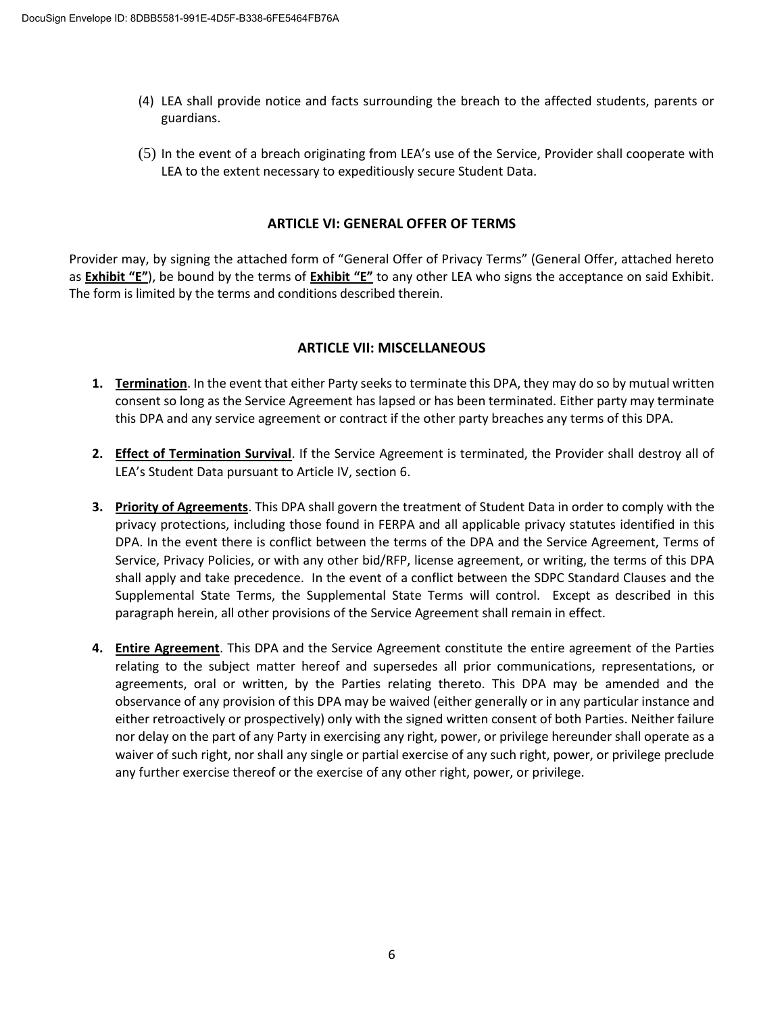- (4) LEA shall provide notice and facts surrounding the breach to the affected students, parents or guardians.
- (5) In the event of a breach originating from LEA's use of the Service, Provider shall cooperate with LEA to the extent necessary to expeditiously secure Student Data.

#### **ARTICLE VI: GENERAL OFFER OF TERMS**

Provider may, by signing the attached form of "General Offer of Privacy Terms" (General Offer, attached hereto as **Exhibit "E"**), be bound by the terms of **Exhibit "E"** to any other LEA who signs the acceptance on said Exhibit. The form is limited by the terms and conditions described therein.

#### **ARTICLE VII: MISCELLANEOUS**

- **1. Termination**. In the event that either Party seeks to terminate this DPA, they may do so by mutual written consent so long as the Service Agreement has lapsed or has been terminated. Either party may terminate this DPA and any service agreement or contract if the other party breaches any terms of this DPA.
- **2. Effect of Termination Survival**. If the Service Agreement is terminated, the Provider shall destroy all of LEA's Student Data pursuant to Article IV, section 6.
- **3. Priority of Agreements**. This DPA shall govern the treatment of Student Data in order to comply with the privacy protections, including those found in FERPA and all applicable privacy statutes identified in this DPA. In the event there is conflict between the terms of the DPA and the Service Agreement, Terms of Service, Privacy Policies, or with any other bid/RFP, license agreement, or writing, the terms of this DPA shall apply and take precedence. In the event of a conflict between the SDPC Standard Clauses and the Supplemental State Terms, the Supplemental State Terms will control. Except as described in this paragraph herein, all other provisions of the Service Agreement shall remain in effect.
- **4. Entire Agreement**. This DPA and the Service Agreement constitute the entire agreement of the Parties relating to the subject matter hereof and supersedes all prior communications, representations, or agreements, oral or written, by the Parties relating thereto. This DPA may be amended and the observance of any provision of this DPA may be waived (either generally or in any particular instance and either retroactively or prospectively) only with the signed written consent of both Parties. Neither failure nor delay on the part of any Party in exercising any right, power, or privilege hereunder shall operate as a waiver of such right, nor shall any single or partial exercise of any such right, power, or privilege preclude any further exercise thereof or the exercise of any other right, power, or privilege.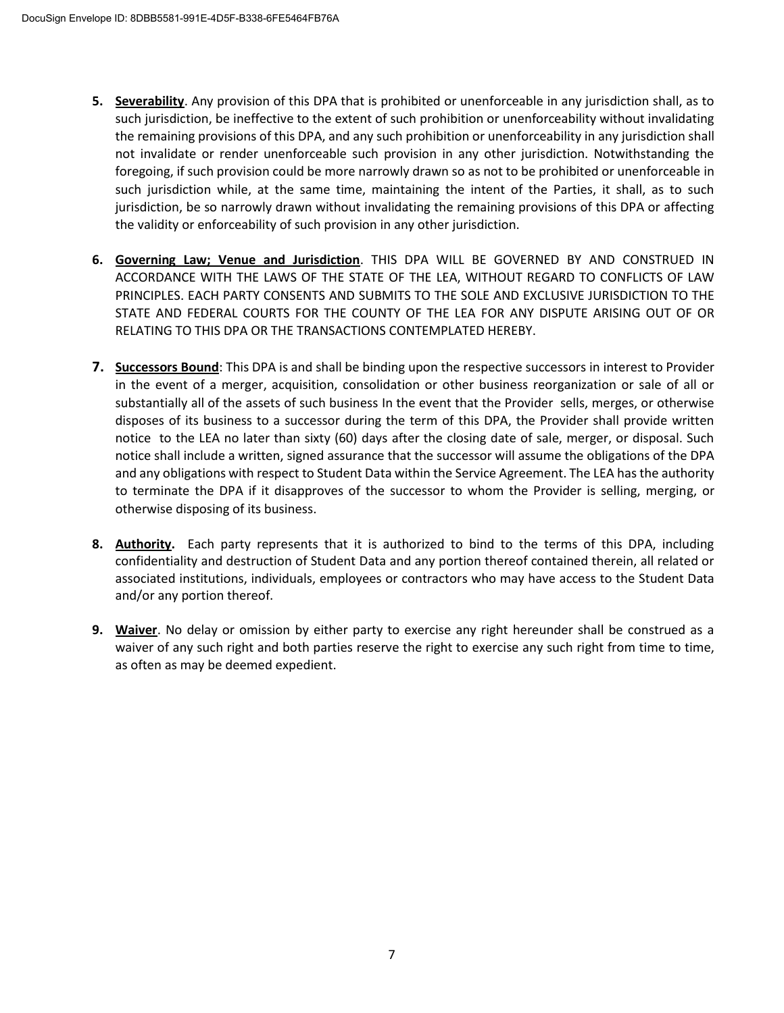- **5. Severability**. Any provision of this DPA that is prohibited or unenforceable in any jurisdiction shall, as to such jurisdiction, be ineffective to the extent of such prohibition or unenforceability without invalidating the remaining provisions of this DPA, and any such prohibition or unenforceability in any jurisdiction shall not invalidate or render unenforceable such provision in any other jurisdiction. Notwithstanding the foregoing, if such provision could be more narrowly drawn so as not to be prohibited or unenforceable in such jurisdiction while, at the same time, maintaining the intent of the Parties, it shall, as to such jurisdiction, be so narrowly drawn without invalidating the remaining provisions of this DPA or affecting the validity or enforceability of such provision in any other jurisdiction.
- **6. Governing Law; Venue and Jurisdiction**. THIS DPA WILL BE GOVERNED BY AND CONSTRUED IN ACCORDANCE WITH THE LAWS OF THE STATE OF THE LEA, WITHOUT REGARD TO CONFLICTS OF LAW PRINCIPLES. EACH PARTY CONSENTS AND SUBMITS TO THE SOLE AND EXCLUSIVE JURISDICTION TO THE STATE AND FEDERAL COURTS FOR THE COUNTY OF THE LEA FOR ANY DISPUTE ARISING OUT OF OR RELATING TO THIS DPA OR THE TRANSACTIONS CONTEMPLATED HEREBY.
- **7. Successors Bound**: This DPA is and shall be binding upon the respective successors in interest to Provider in the event of a merger, acquisition, consolidation or other business reorganization or sale of all or substantially all of the assets of such business In the event that the Provider sells, merges, or otherwise disposes of its business to a successor during the term of this DPA, the Provider shall provide written notice to the LEA no later than sixty (60) days after the closing date of sale, merger, or disposal. Such notice shall include a written, signed assurance that the successor will assume the obligations of the DPA and any obligations with respect to Student Data within the Service Agreement. The LEA has the authority to terminate the DPA if it disapproves of the successor to whom the Provider is selling, merging, or otherwise disposing of its business.
- **8. Authority.** Each party represents that it is authorized to bind to the terms of this DPA, including confidentiality and destruction of Student Data and any portion thereof contained therein, all related or associated institutions, individuals, employees or contractors who may have access to the Student Data and/or any portion thereof.
- **9. Waiver**. No delay or omission by either party to exercise any right hereunder shall be construed as a waiver of any such right and both parties reserve the right to exercise any such right from time to time, as often as may be deemed expedient.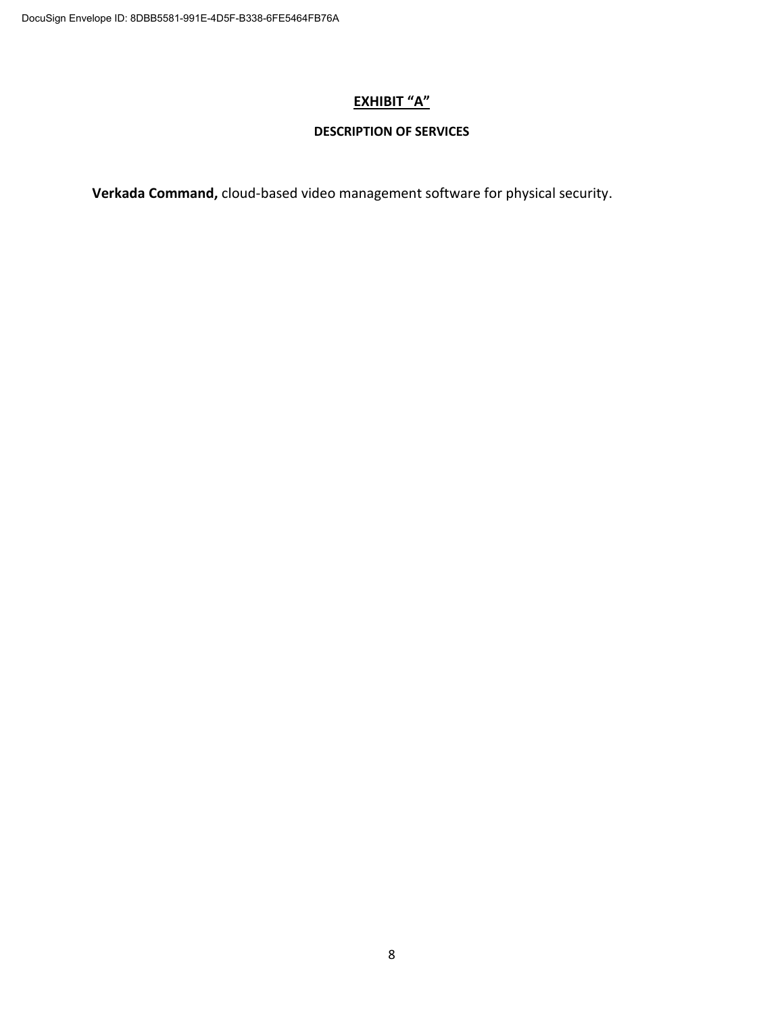#### **EXHIBIT "A"**

#### **DESCRIPTION OF SERVICES**

**Verkada Command,** cloud-based video management software for physical security.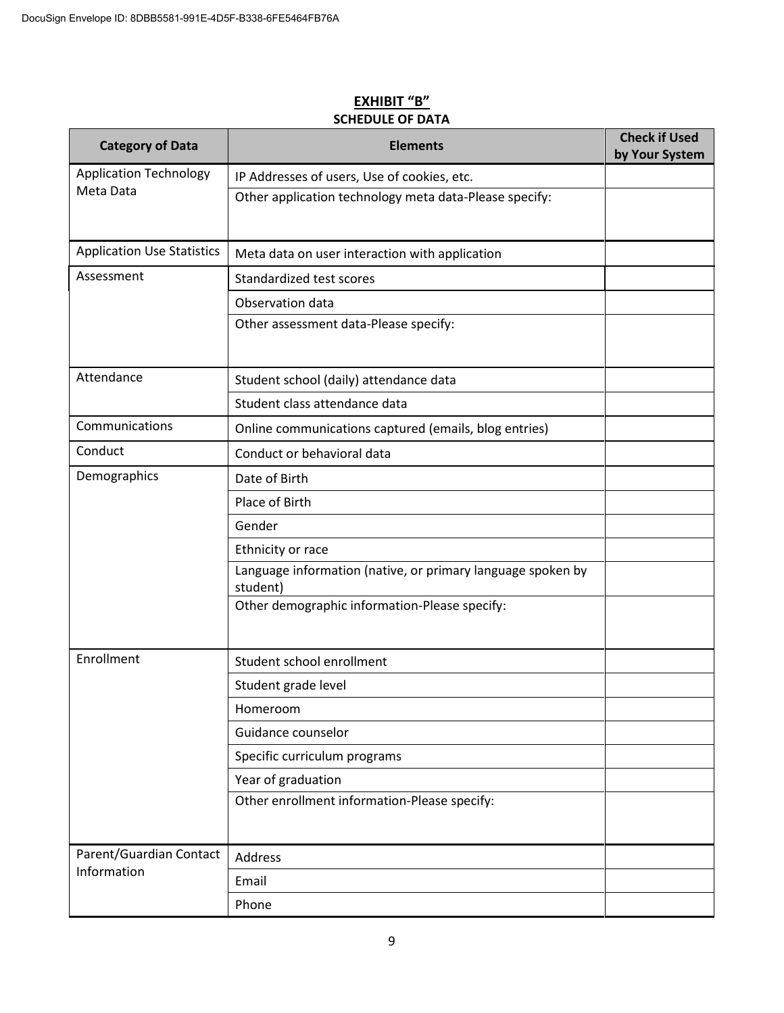| <b>Category of Data</b>           | <b>Elements</b>                                                         | <b>Check if Used</b><br>by Your System |
|-----------------------------------|-------------------------------------------------------------------------|----------------------------------------|
| <b>Application Technology</b>     | IP Addresses of users, Use of cookies, etc.                             |                                        |
| Meta Data                         | Other application technology meta data-Please specify:                  |                                        |
| <b>Application Use Statistics</b> | Meta data on user interaction with application                          |                                        |
| Assessment                        | Standardized test scores                                                |                                        |
|                                   | Observation data                                                        |                                        |
|                                   | Other assessment data-Please specify:                                   |                                        |
| Attendance                        | Student school (daily) attendance data                                  |                                        |
|                                   | Student class attendance data                                           |                                        |
| Communications                    | Online communications captured (emails, blog entries)                   |                                        |
| Conduct                           | Conduct or behavioral data                                              |                                        |
| Demographics                      | Date of Birth                                                           |                                        |
|                                   | Place of Birth                                                          |                                        |
|                                   | Gender                                                                  |                                        |
|                                   | Ethnicity or race                                                       |                                        |
|                                   | Language information (native, or primary language spoken by<br>student) |                                        |
|                                   | Other demographic information-Please specify:                           |                                        |
| Enrollment                        | Student school enrollment                                               |                                        |
|                                   | Student grade level                                                     |                                        |
|                                   | Homeroom                                                                |                                        |
|                                   | Guidance counselor                                                      |                                        |
|                                   | Specific curriculum programs                                            |                                        |
|                                   | Year of graduation                                                      |                                        |
|                                   | Other enrollment information-Please specify:                            |                                        |
| Parent/Guardian Contact           | Address                                                                 |                                        |
| Information                       | Email                                                                   |                                        |
|                                   | Phone                                                                   |                                        |

#### **EXHIBIT "B" SCHEDULE OF DATA**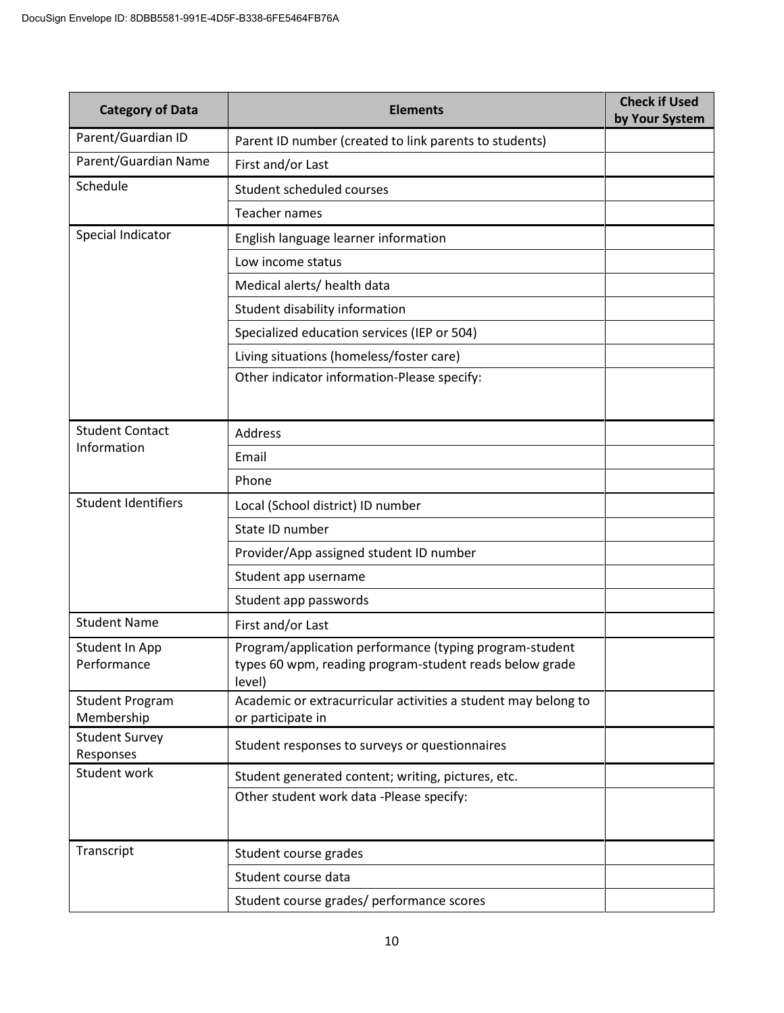| <b>Category of Data</b>              | <b>Elements</b>                                                                                                              | <b>Check if Used</b><br>by Your System |
|--------------------------------------|------------------------------------------------------------------------------------------------------------------------------|----------------------------------------|
| Parent/Guardian ID                   | Parent ID number (created to link parents to students)                                                                       |                                        |
| Parent/Guardian Name                 | First and/or Last                                                                                                            |                                        |
| Schedule                             | Student scheduled courses                                                                                                    |                                        |
|                                      | Teacher names                                                                                                                |                                        |
| Special Indicator                    | English language learner information                                                                                         |                                        |
|                                      | Low income status                                                                                                            |                                        |
|                                      | Medical alerts/ health data                                                                                                  |                                        |
|                                      | Student disability information                                                                                               |                                        |
|                                      | Specialized education services (IEP or 504)                                                                                  |                                        |
|                                      | Living situations (homeless/foster care)                                                                                     |                                        |
|                                      | Other indicator information-Please specify:                                                                                  |                                        |
| <b>Student Contact</b>               | <b>Address</b>                                                                                                               |                                        |
| Information                          | Email                                                                                                                        |                                        |
|                                      | Phone                                                                                                                        |                                        |
| <b>Student Identifiers</b>           | Local (School district) ID number                                                                                            |                                        |
|                                      | State ID number                                                                                                              |                                        |
|                                      | Provider/App assigned student ID number                                                                                      |                                        |
|                                      | Student app username                                                                                                         |                                        |
|                                      | Student app passwords                                                                                                        |                                        |
| <b>Student Name</b>                  | First and/or Last                                                                                                            |                                        |
| Student In App<br>Performance        | Program/application performance (typing program-student<br>types 60 wpm, reading program-student reads below grade<br>level) |                                        |
| <b>Student Program</b><br>Membership | Academic or extracurricular activities a student may belong to<br>or participate in                                          |                                        |
| <b>Student Survey</b><br>Responses   | Student responses to surveys or questionnaires                                                                               |                                        |
| Student work                         | Student generated content; writing, pictures, etc.                                                                           |                                        |
|                                      | Other student work data -Please specify:                                                                                     |                                        |
| Transcript                           | Student course grades                                                                                                        |                                        |
|                                      | Student course data                                                                                                          |                                        |
|                                      | Student course grades/ performance scores                                                                                    |                                        |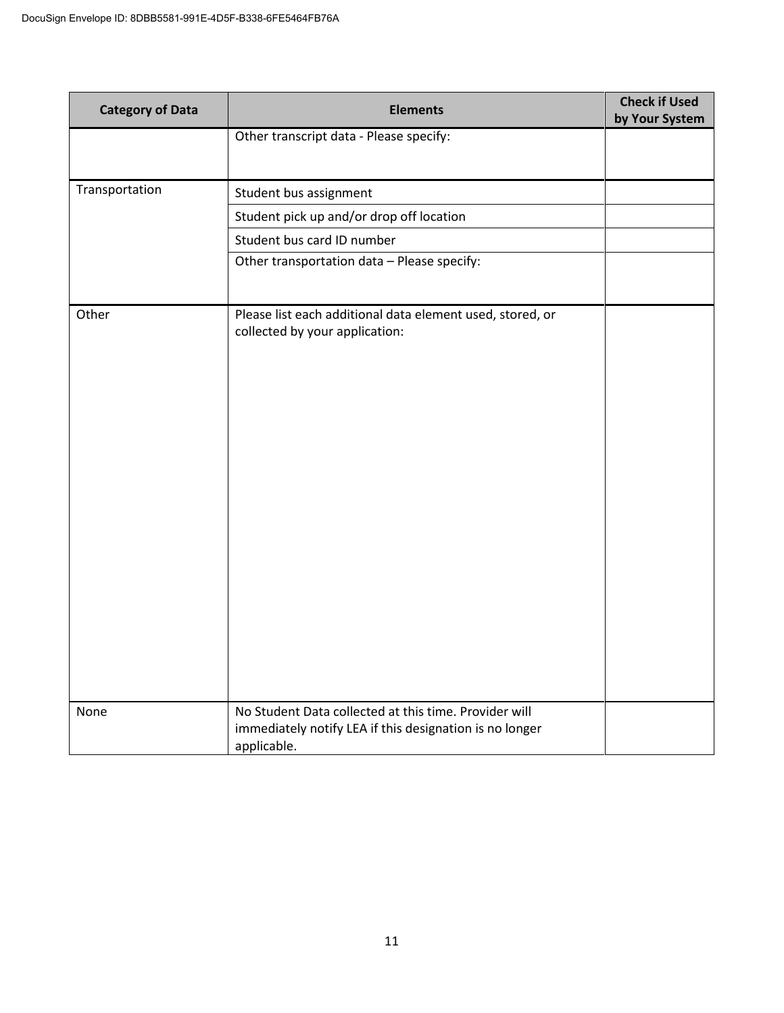| <b>Category of Data</b> | <b>Elements</b>                                                                                                                 | <b>Check if Used</b><br>by Your System |
|-------------------------|---------------------------------------------------------------------------------------------------------------------------------|----------------------------------------|
|                         | Other transcript data - Please specify:                                                                                         |                                        |
| Transportation          | Student bus assignment                                                                                                          |                                        |
|                         | Student pick up and/or drop off location                                                                                        |                                        |
|                         | Student bus card ID number                                                                                                      |                                        |
|                         | Other transportation data - Please specify:                                                                                     |                                        |
| Other                   | Please list each additional data element used, stored, or<br>collected by your application:                                     |                                        |
| None                    | No Student Data collected at this time. Provider will<br>immediately notify LEA if this designation is no longer<br>applicable. |                                        |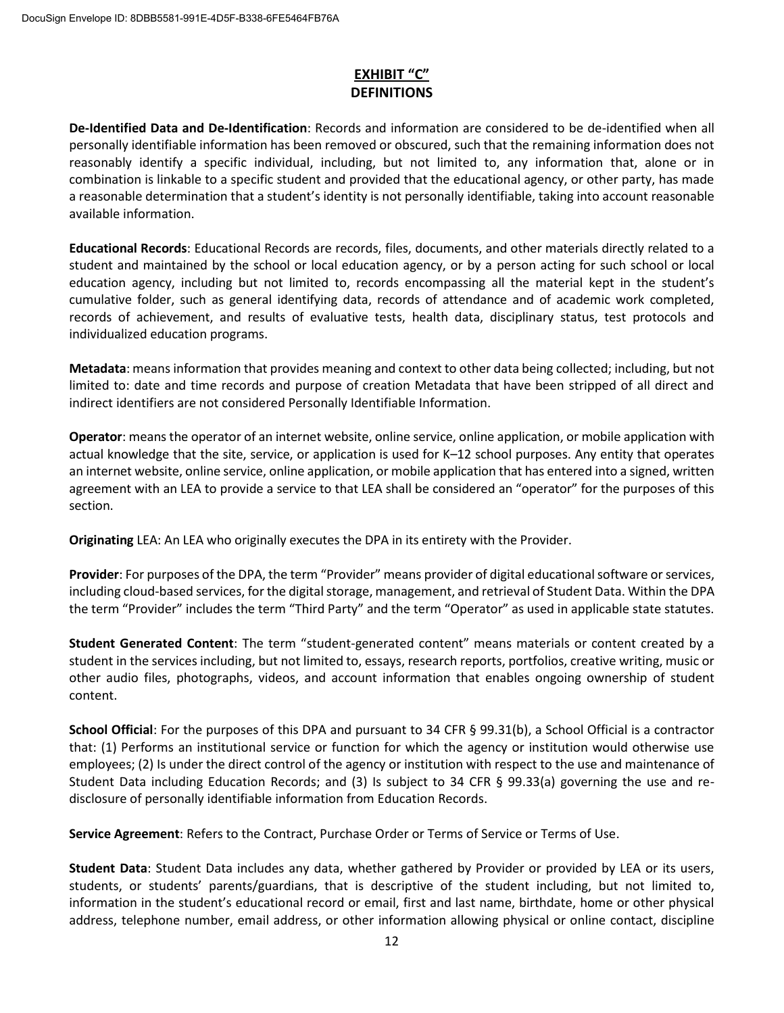#### **EXHIBIT "C" DEFINITIONS**

**De-Identified Data and De-Identification**: Records and information are considered to be de-identified when all personally identifiable information has been removed or obscured, such that the remaining information does not reasonably identify a specific individual, including, but not limited to, any information that, alone or in combination is linkable to a specific student and provided that the educational agency, or other party, has made a reasonable determination that a student's identity is not personally identifiable, taking into account reasonable available information.

**Educational Records**: Educational Records are records, files, documents, and other materials directly related to a student and maintained by the school or local education agency, or by a person acting for such school or local education agency, including but not limited to, records encompassing all the material kept in the student's cumulative folder, such as general identifying data, records of attendance and of academic work completed, records of achievement, and results of evaluative tests, health data, disciplinary status, test protocols and individualized education programs.

**Metadata**: means information that provides meaning and context to other data being collected; including, but not limited to: date and time records and purpose of creation Metadata that have been stripped of all direct and indirect identifiers are not considered Personally Identifiable Information.

**Operator**: means the operator of an internet website, online service, online application, or mobile application with actual knowledge that the site, service, or application is used for K–12 school purposes. Any entity that operates an internet website, online service, online application, or mobile application that has entered into a signed, written agreement with an LEA to provide a service to that LEA shall be considered an "operator" for the purposes of this section.

**Originating** LEA: An LEA who originally executes the DPA in its entirety with the Provider.

**Provider**: For purposes of the DPA, the term "Provider" means provider of digital educational software or services, including cloud-based services, for the digital storage, management, and retrieval of Student Data. Within the DPA the term "Provider" includes the term "Third Party" and the term "Operator" as used in applicable state statutes.

**Student Generated Content**: The term "student-generated content" means materials or content created by a student in the services including, but not limited to, essays, research reports, portfolios, creative writing, music or other audio files, photographs, videos, and account information that enables ongoing ownership of student content.

**School Official**: For the purposes of this DPA and pursuant to 34 CFR § 99.31(b), a School Official is a contractor that: (1) Performs an institutional service or function for which the agency or institution would otherwise use employees; (2) Is under the direct control of the agency or institution with respect to the use and maintenance of Student Data including Education Records; and (3) Is subject to 34 CFR § 99.33(a) governing the use and redisclosure of personally identifiable information from Education Records.

**Service Agreement**: Refers to the Contract, Purchase Order or Terms of Service or Terms of Use.

**Student Data**: Student Data includes any data, whether gathered by Provider or provided by LEA or its users, students, or students' parents/guardians, that is descriptive of the student including, but not limited to, information in the student's educational record or email, first and last name, birthdate, home or other physical address, telephone number, email address, or other information allowing physical or online contact, discipline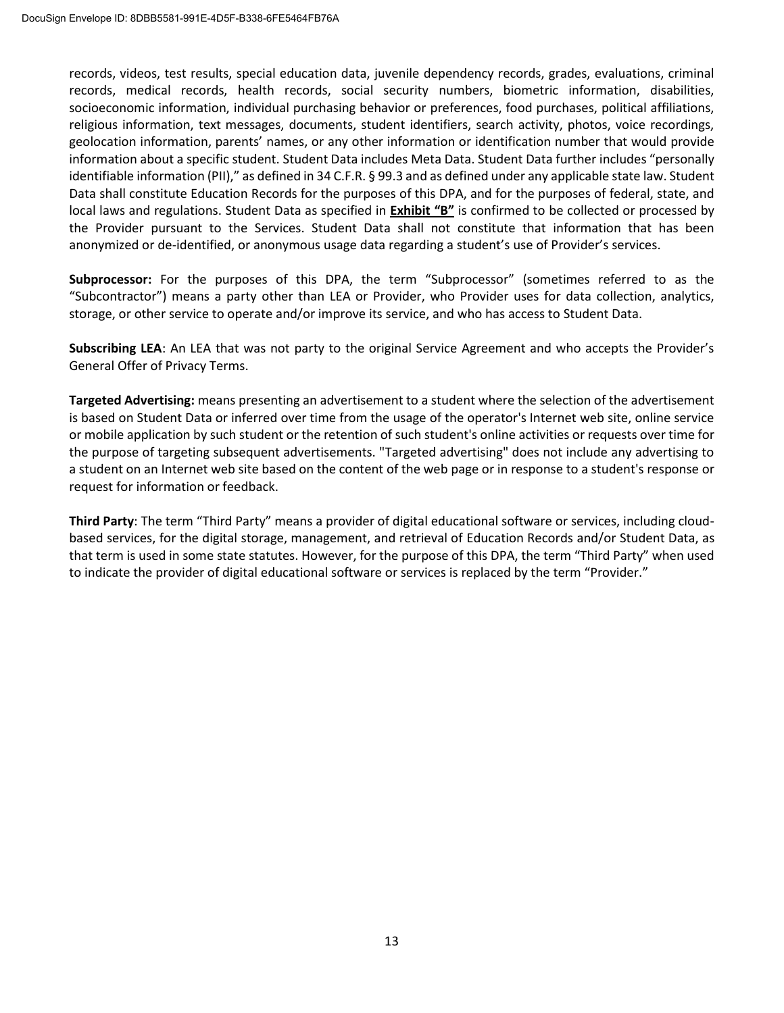records, videos, test results, special education data, juvenile dependency records, grades, evaluations, criminal records, medical records, health records, social security numbers, biometric information, disabilities, socioeconomic information, individual purchasing behavior or preferences, food purchases, political affiliations, religious information, text messages, documents, student identifiers, search activity, photos, voice recordings, geolocation information, parents' names, or any other information or identification number that would provide information about a specific student. Student Data includes Meta Data. Student Data further includes "personally identifiable information (PII)," as defined in 34 C.F.R. § 99.3 and as defined under any applicable state law. Student Data shall constitute Education Records for the purposes of this DPA, and for the purposes of federal, state, and local laws and regulations. Student Data as specified in **Exhibit "B"** is confirmed to be collected or processed by the Provider pursuant to the Services. Student Data shall not constitute that information that has been anonymized or de-identified, or anonymous usage data regarding a student's use of Provider's services.

**Subprocessor:** For the purposes of this DPA, the term "Subprocessor" (sometimes referred to as the "Subcontractor") means a party other than LEA or Provider, who Provider uses for data collection, analytics, storage, or other service to operate and/or improve its service, and who has access to Student Data.

**Subscribing LEA**: An LEA that was not party to the original Service Agreement and who accepts the Provider's General Offer of Privacy Terms.

**Targeted Advertising:** means presenting an advertisement to a student where the selection of the advertisement is based on Student Data or inferred over time from the usage of the operator's Internet web site, online service or mobile application by such student or the retention of such student's online activities or requests over time for the purpose of targeting subsequent advertisements. "Targeted advertising" does not include any advertising to a student on an Internet web site based on the content of the web page or in response to a student's response or request for information or feedback.

**Third Party**: The term "Third Party" means a provider of digital educational software or services, including cloudbased services, for the digital storage, management, and retrieval of Education Records and/or Student Data, as that term is used in some state statutes. However, for the purpose of this DPA, the term "Third Party" when used to indicate the provider of digital educational software or services is replaced by the term "Provider."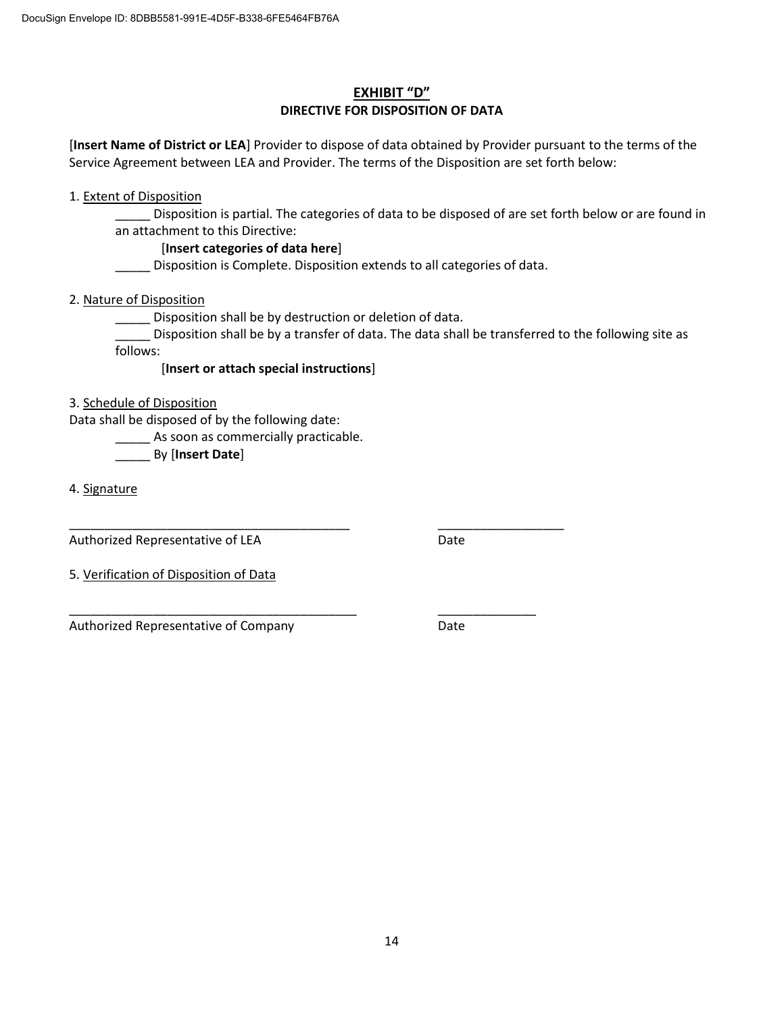#### **EXHIBIT "D" DIRECTIVE FOR DISPOSITION OF DATA**

[**Insert Name of District or LEA**] Provider to dispose of data obtained by Provider pursuant to the terms of the Service Agreement between LEA and Provider. The terms of the Disposition are set forth below:

1. Extent of Disposition

Disposition is partial. The categories of data to be disposed of are set forth below or are found in an attachment to this Directive:

#### [**Insert categories of data here**]

\_\_\_\_\_ Disposition is Complete. Disposition extends to all categories of data.

2. Nature of Disposition

Disposition shall be by destruction or deletion of data.

\_\_\_\_\_\_\_\_\_\_\_\_\_\_\_\_\_\_\_\_\_\_\_\_\_\_\_\_\_\_\_\_\_\_\_\_\_\_\_\_ \_\_\_\_\_\_\_\_\_\_\_\_\_\_\_\_\_\_

\_\_\_\_\_ Disposition shall be by a transfer of data. The data shall be transferred to the following site as follows:

[**Insert or attach special instructions**]

3. Schedule of Disposition

Data shall be disposed of by the following date:

As soon as commercially practicable.

\_\_\_\_\_ By [**Insert Date**]

4. Signature

Authorized Representative of LEA Date

5. Verification of Disposition of Data

\_\_\_\_\_\_\_\_\_\_\_\_\_\_\_\_\_\_\_\_\_\_\_\_\_\_\_\_\_\_\_\_\_\_\_\_\_\_\_\_\_ \_\_\_\_\_\_\_\_\_\_\_\_\_\_ Authorized Representative of Company Theorem 2012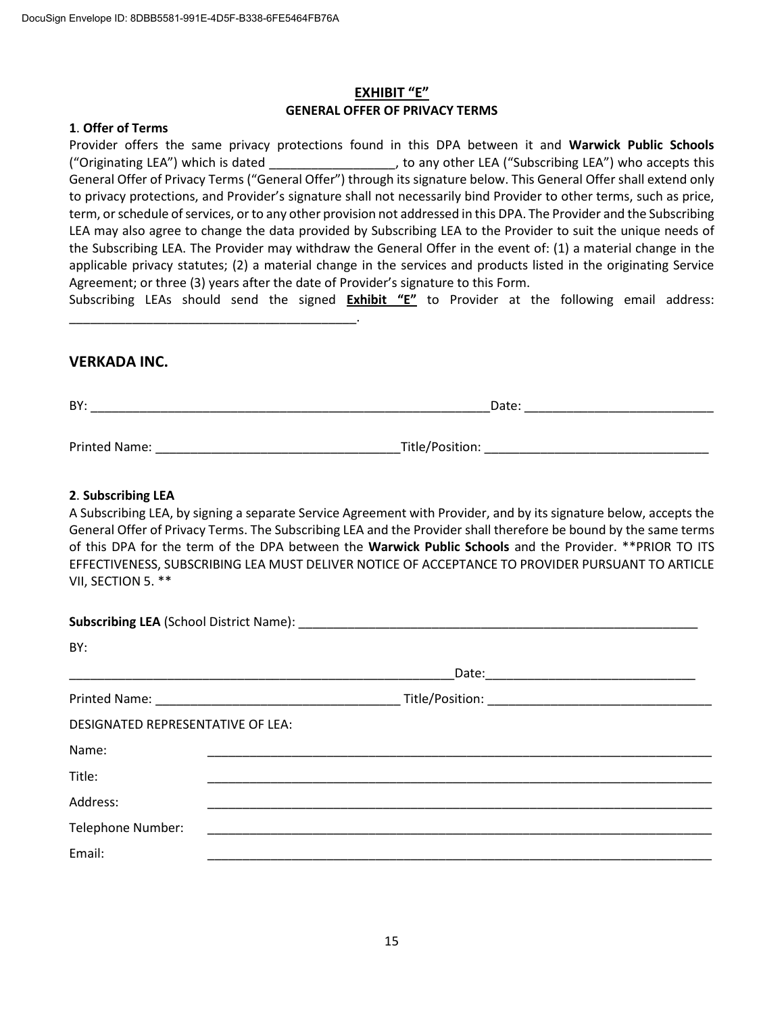\_\_\_\_\_\_\_\_\_\_\_\_\_\_\_\_\_\_\_\_\_\_\_\_\_\_\_\_\_\_\_\_\_\_\_\_\_\_\_\_\_.

#### **EXHIBIT "E" GENERAL OFFER OF PRIVACY TERMS**

#### **1**. **Offer of Terms**

Provider offers the same privacy protections found in this DPA between it and **Warwick Public Schools** ("Originating LEA") which is dated \_\_\_\_\_\_\_\_\_\_\_\_\_\_\_\_\_\_, to any other LEA ("Subscribing LEA") who accepts this General Offer of Privacy Terms ("General Offer") through its signature below. This General Offer shall extend only to privacy protections, and Provider's signature shall not necessarily bind Provider to other terms, such as price, term, or schedule of services, or to any other provision not addressed in this DPA. The Provider and the Subscribing LEA may also agree to change the data provided by Subscribing LEA to the Provider to suit the unique needs of the Subscribing LEA. The Provider may withdraw the General Offer in the event of: (1) a material change in the applicable privacy statutes; (2) a material change in the services and products listed in the originating Service Agreement; or three (3) years after the date of Provider's signature to this Form.

Subscribing LEAs should send the signed **Exhibit "E"** to Provider at the following email address:

#### **VERKADA INC.**

| BY:           | Date:           |  |
|---------------|-----------------|--|
|               |                 |  |
| Printed Name: | Title/Position: |  |

#### **2**. **Subscribing LEA**

A Subscribing LEA, by signing a separate Service Agreement with Provider, and by its signature below, accepts the General Offer of Privacy Terms. The Subscribing LEA and the Provider shall therefore be bound by the same terms of this DPA for the term of the DPA between the **Warwick Public Schools** and the Provider. \*\*PRIOR TO ITS EFFECTIVENESS, SUBSCRIBING LEA MUST DELIVER NOTICE OF ACCEPTANCE TO PROVIDER PURSUANT TO ARTICLE VII, SECTION 5. \*\*

| BY:                               |                                                             |  |
|-----------------------------------|-------------------------------------------------------------|--|
|                                   | <u> 1980 - Johann Stoff, Amerikaansk politiker († 1908)</u> |  |
|                                   |                                                             |  |
| DESIGNATED REPRESENTATIVE OF LEA: |                                                             |  |
| Name:                             |                                                             |  |
| Title:                            |                                                             |  |
| Address:                          |                                                             |  |
| Telephone Number:                 |                                                             |  |
| Email:                            |                                                             |  |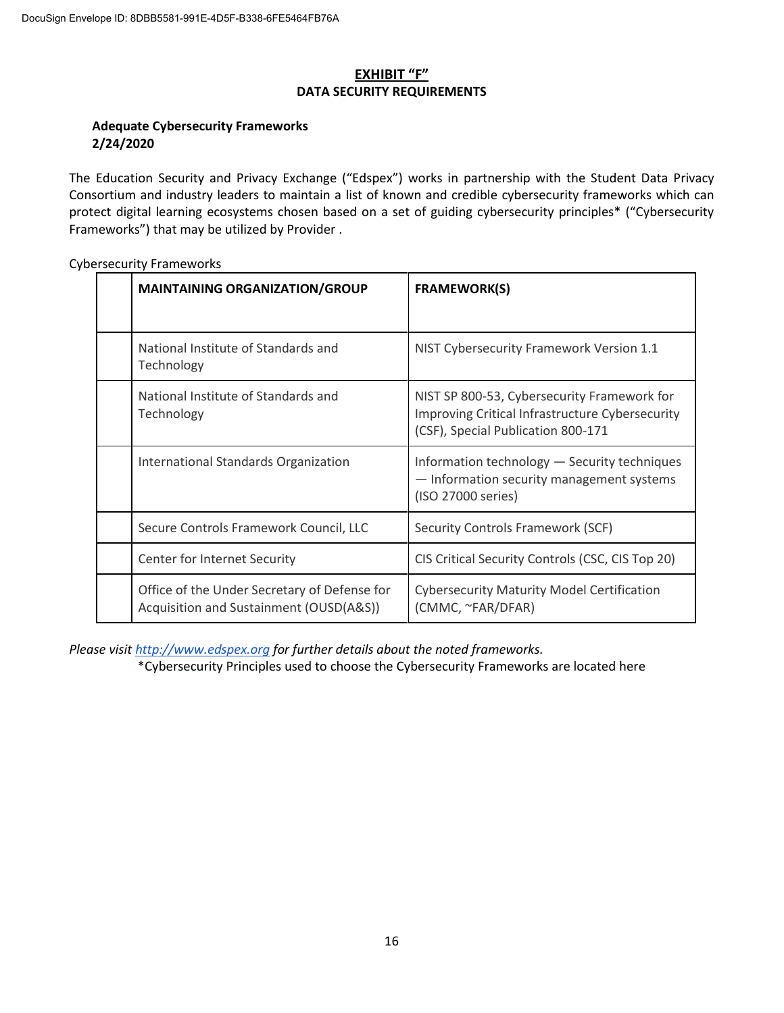#### **EXHIBIT "F" DATA SECURITY REQUIREMENTS**

#### **Adequate Cybersecurity Frameworks 2/24/2020**

The Education Security and Privacy Exchange ("Edspex") works in partnership with the Student Data Privacy Consortium and industry leaders to maintain a list of known and credible cybersecurity frameworks which can protect digital learning ecosystems chosen based on a set of guiding cybersecurity principles\* ("Cybersecurity Frameworks") that may be utilized by Provider .

| <b>MAINTAINING ORGANIZATION/GROUP</b>                                                   | <b>FRAMEWORK(S)</b>                                                                                                                  |
|-----------------------------------------------------------------------------------------|--------------------------------------------------------------------------------------------------------------------------------------|
| National Institute of Standards and<br>Technology                                       | NIST Cybersecurity Framework Version 1.1                                                                                             |
| National Institute of Standards and<br>Technology                                       | NIST SP 800-53, Cybersecurity Framework for<br>Improving Critical Infrastructure Cybersecurity<br>(CSF), Special Publication 800-171 |
| International Standards Organization                                                    | Information technology - Security techniques<br>- Information security management systems<br>(ISO 27000 series)                      |
| Secure Controls Framework Council, LLC                                                  | Security Controls Framework (SCF)                                                                                                    |
| Center for Internet Security                                                            | CIS Critical Security Controls (CSC, CIS Top 20)                                                                                     |
| Office of the Under Secretary of Defense for<br>Acquisition and Sustainment (OUSD(A&S)) | <b>Cybersecurity Maturity Model Certification</b><br>(CMMC, ~FAR/DFAR)                                                               |

Cybersecurity Frameworks

*Please visit http://www.edspex.org for further details about the noted frameworks.*

\*Cybersecurity Principles used to choose the Cybersecurity Frameworks are located here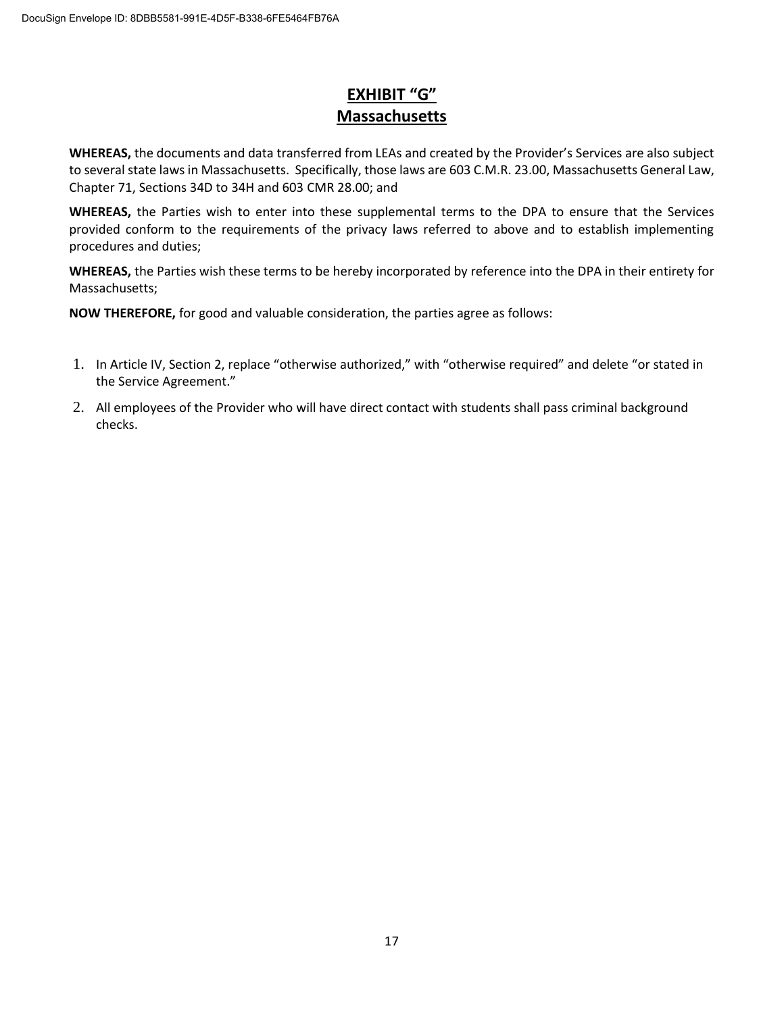### **EXHIBIT "G" Massachusetts**

**WHEREAS,** the documents and data transferred from LEAs and created by the Provider's Services are also subject to several state laws in Massachusetts. Specifically, those laws are 603 C.M.R. 23.00, Massachusetts General Law, Chapter 71, Sections 34D to 34H and 603 CMR 28.00; and

**WHEREAS,** the Parties wish to enter into these supplemental terms to the DPA to ensure that the Services provided conform to the requirements of the privacy laws referred to above and to establish implementing procedures and duties;

**WHEREAS,** the Parties wish these terms to be hereby incorporated by reference into the DPA in their entirety for Massachusetts;

**NOW THEREFORE,** for good and valuable consideration, the parties agree as follows:

- 1. In Article IV, Section 2, replace "otherwise authorized," with "otherwise required" and delete "or stated in the Service Agreement."
- 2. All employees of the Provider who will have direct contact with students shall pass criminal background checks.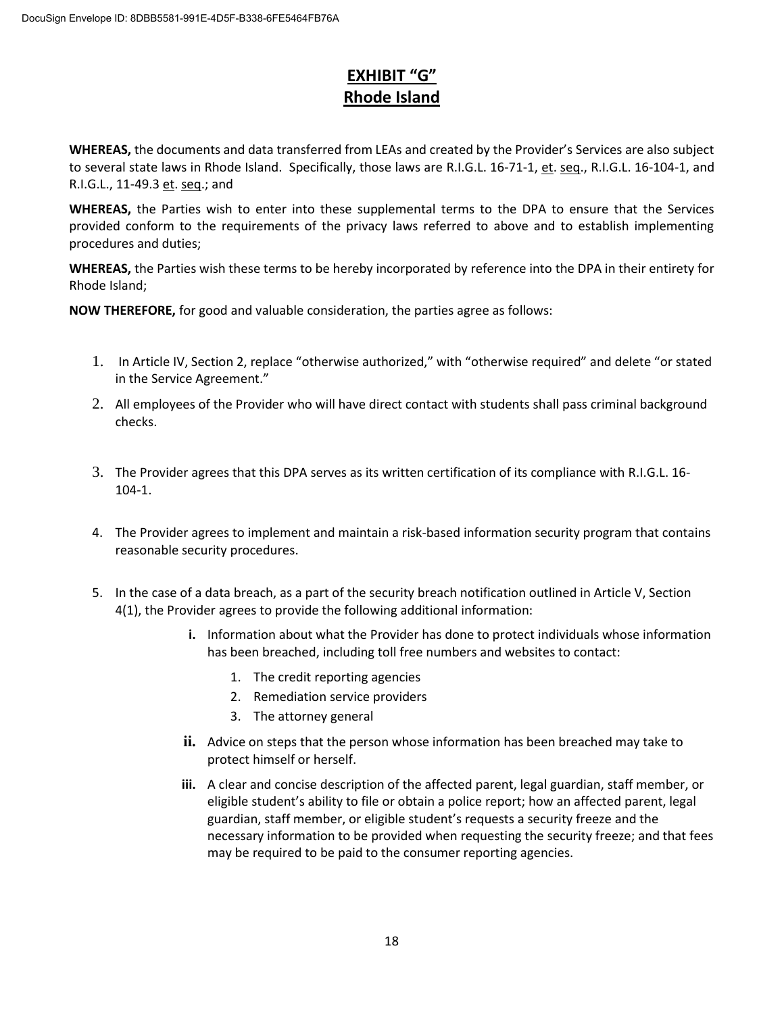#### **EXHIBIT "G" Rhode Island**

**WHEREAS,** the documents and data transferred from LEAs and created by the Provider's Services are also subject to several state laws in Rhode Island. Specifically, those laws are R.I.G.L. 16-71-1, et. seq., R.I.G.L. 16-104-1, and R.I.G.L., 11-49.3 et. seq.; and

**WHEREAS,** the Parties wish to enter into these supplemental terms to the DPA to ensure that the Services provided conform to the requirements of the privacy laws referred to above and to establish implementing procedures and duties;

**WHEREAS,** the Parties wish these terms to be hereby incorporated by reference into the DPA in their entirety for Rhode Island;

**NOW THEREFORE,** for good and valuable consideration, the parties agree as follows:

- 1. In Article IV, Section 2, replace "otherwise authorized," with "otherwise required" and delete "or stated in the Service Agreement."
- 2. All employees of the Provider who will have direct contact with students shall pass criminal background checks.
- 3. The Provider agrees that this DPA serves as its written certification of its compliance with R.I.G.L. 16- 104-1.
- 4. The Provider agrees to implement and maintain a risk-based information security program that contains reasonable security procedures.
- 5. In the case of a data breach, as a part of the security breach notification outlined in Article V, Section 4(1), the Provider agrees to provide the following additional information:
	- **i.** Information about what the Provider has done to protect individuals whose information has been breached, including toll free numbers and websites to contact:
		- 1. The credit reporting agencies
		- 2. Remediation service providers
		- 3. The attorney general
	- **ii.** Advice on steps that the person whose information has been breached may take to protect himself or herself.
	- **iii.** A clear and concise description of the affected parent, legal guardian, staff member, or eligible student's ability to file or obtain a police report; how an affected parent, legal guardian, staff member, or eligible student's requests a security freeze and the necessary information to be provided when requesting the security freeze; and that fees may be required to be paid to the consumer reporting agencies.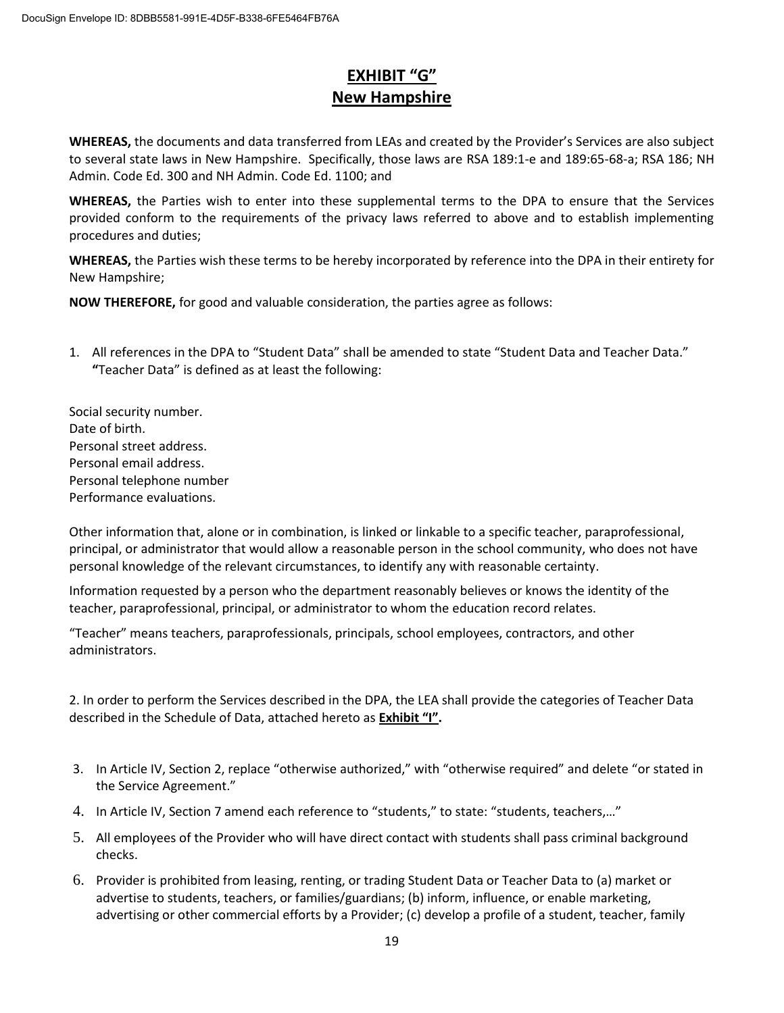#### **EXHIBIT "G" New Hampshire**

**WHEREAS,** the documents and data transferred from LEAs and created by the Provider's Services are also subject to several state laws in New Hampshire. Specifically, those laws are RSA 189:1-e and 189:65-68-a; RSA 186; NH Admin. Code Ed. 300 and NH Admin. Code Ed. 1100; and

**WHEREAS,** the Parties wish to enter into these supplemental terms to the DPA to ensure that the Services provided conform to the requirements of the privacy laws referred to above and to establish implementing procedures and duties;

**WHEREAS,** the Parties wish these terms to be hereby incorporated by reference into the DPA in their entirety for New Hampshire;

**NOW THEREFORE,** for good and valuable consideration, the parties agree as follows:

1. All references in the DPA to "Student Data" shall be amended to state "Student Data and Teacher Data." **"**Teacher Data" is defined as at least the following:

Social security number. Date of birth. Personal street address. Personal email address. Personal telephone number Performance evaluations.

Other information that, alone or in combination, is linked or linkable to a specific teacher, paraprofessional, principal, or administrator that would allow a reasonable person in the school community, who does not have personal knowledge of the relevant circumstances, to identify any with reasonable certainty.

Information requested by a person who the department reasonably believes or knows the identity of the teacher, paraprofessional, principal, or administrator to whom the education record relates.

"Teacher" means teachers, paraprofessionals, principals, school employees, contractors, and other administrators.

2. In order to perform the Services described in the DPA, the LEA shall provide the categories of Teacher Data described in the Schedule of Data, attached hereto as **Exhibit "I".**

- 3. In Article IV, Section 2, replace "otherwise authorized," with "otherwise required" and delete "or stated in the Service Agreement."
- 4. In Article IV, Section 7 amend each reference to "students," to state: "students, teachers,…"
- 5. All employees of the Provider who will have direct contact with students shall pass criminal background checks.
- 6. Provider is prohibited from leasing, renting, or trading Student Data or Teacher Data to (a) market or advertise to students, teachers, or families/guardians; (b) inform, influence, or enable marketing, advertising or other commercial efforts by a Provider; (c) develop a profile of a student, teacher, family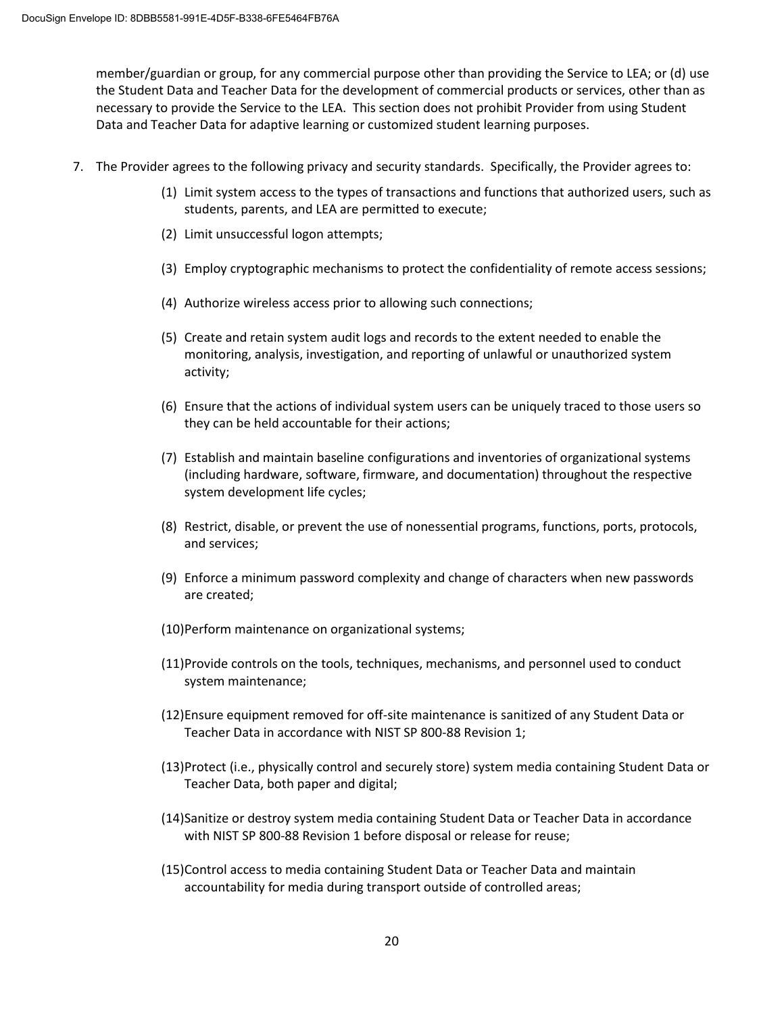member/guardian or group, for any commercial purpose other than providing the Service to LEA; or (d) use the Student Data and Teacher Data for the development of commercial products or services, other than as necessary to provide the Service to the LEA. This section does not prohibit Provider from using Student Data and Teacher Data for adaptive learning or customized student learning purposes.

- 7. The Provider agrees to the following privacy and security standards. Specifically, the Provider agrees to:
	- (1) Limit system access to the types of transactions and functions that authorized users, such as students, parents, and LEA are permitted to execute;
	- (2) Limit unsuccessful logon attempts;
	- (3) Employ cryptographic mechanisms to protect the confidentiality of remote access sessions;
	- (4) Authorize wireless access prior to allowing such connections;
	- (5) Create and retain system audit logs and records to the extent needed to enable the monitoring, analysis, investigation, and reporting of unlawful or unauthorized system activity;
	- (6) Ensure that the actions of individual system users can be uniquely traced to those users so they can be held accountable for their actions;
	- (7) Establish and maintain baseline configurations and inventories of organizational systems (including hardware, software, firmware, and documentation) throughout the respective system development life cycles;
	- (8) Restrict, disable, or prevent the use of nonessential programs, functions, ports, protocols, and services;
	- (9) Enforce a minimum password complexity and change of characters when new passwords are created;
	- (10)Perform maintenance on organizational systems;
	- (11)Provide controls on the tools, techniques, mechanisms, and personnel used to conduct system maintenance;
	- (12)Ensure equipment removed for off-site maintenance is sanitized of any Student Data or Teacher Data in accordance with NIST SP 800-88 Revision 1;
	- (13)Protect (i.e., physically control and securely store) system media containing Student Data or Teacher Data, both paper and digital;
	- (14)Sanitize or destroy system media containing Student Data or Teacher Data in accordance with NIST SP 800-88 Revision 1 before disposal or release for reuse;
	- (15)Control access to media containing Student Data or Teacher Data and maintain accountability for media during transport outside of controlled areas;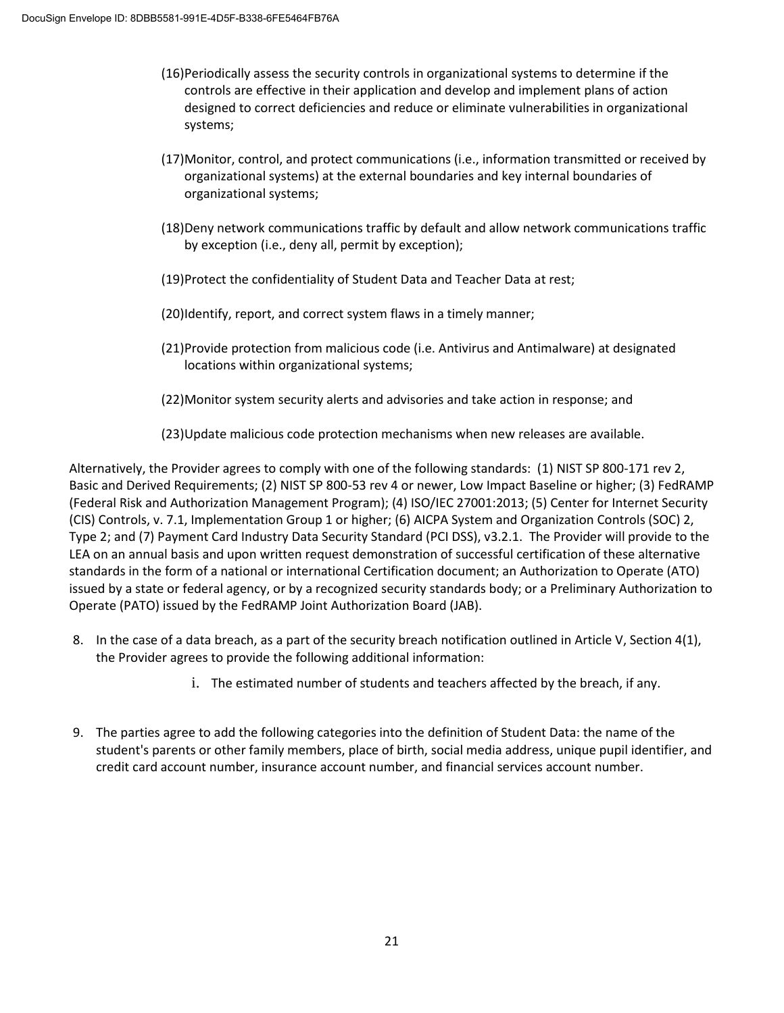- (16)Periodically assess the security controls in organizational systems to determine if the controls are effective in their application and develop and implement plans of action designed to correct deficiencies and reduce or eliminate vulnerabilities in organizational systems;
- (17)Monitor, control, and protect communications (i.e., information transmitted or received by organizational systems) at the external boundaries and key internal boundaries of organizational systems;
- (18)Deny network communications traffic by default and allow network communications traffic by exception (i.e., deny all, permit by exception);
- (19)Protect the confidentiality of Student Data and Teacher Data at rest;
- (20)Identify, report, and correct system flaws in a timely manner;
- (21)Provide protection from malicious code (i.e. Antivirus and Antimalware) at designated locations within organizational systems;
- (22)Monitor system security alerts and advisories and take action in response; and
- (23)Update malicious code protection mechanisms when new releases are available.

Alternatively, the Provider agrees to comply with one of the following standards: (1) NIST SP 800-171 rev 2, Basic and Derived Requirements; (2) NIST SP 800-53 rev 4 or newer, Low Impact Baseline or higher; (3) FedRAMP (Federal Risk and Authorization Management Program); (4) ISO/IEC 27001:2013; (5) Center for Internet Security (CIS) Controls, v. 7.1, Implementation Group 1 or higher; (6) AICPA System and Organization Controls (SOC) 2, Type 2; and (7) Payment Card Industry Data Security Standard (PCI DSS), v3.2.1. The Provider will provide to the LEA on an annual basis and upon written request demonstration of successful certification of these alternative standards in the form of a national or international Certification document; an Authorization to Operate (ATO) issued by a state or federal agency, or by a recognized security standards body; or a Preliminary Authorization to Operate (PATO) issued by the FedRAMP Joint Authorization Board (JAB).

- 8. In the case of a data breach, as a part of the security breach notification outlined in Article V, Section 4(1), the Provider agrees to provide the following additional information:
	- i. The estimated number of students and teachers affected by the breach, if any.
- 9. The parties agree to add the following categories into the definition of Student Data: the name of the student's parents or other family members, place of birth, social media address, unique pupil identifier, and credit card account number, insurance account number, and financial services account number.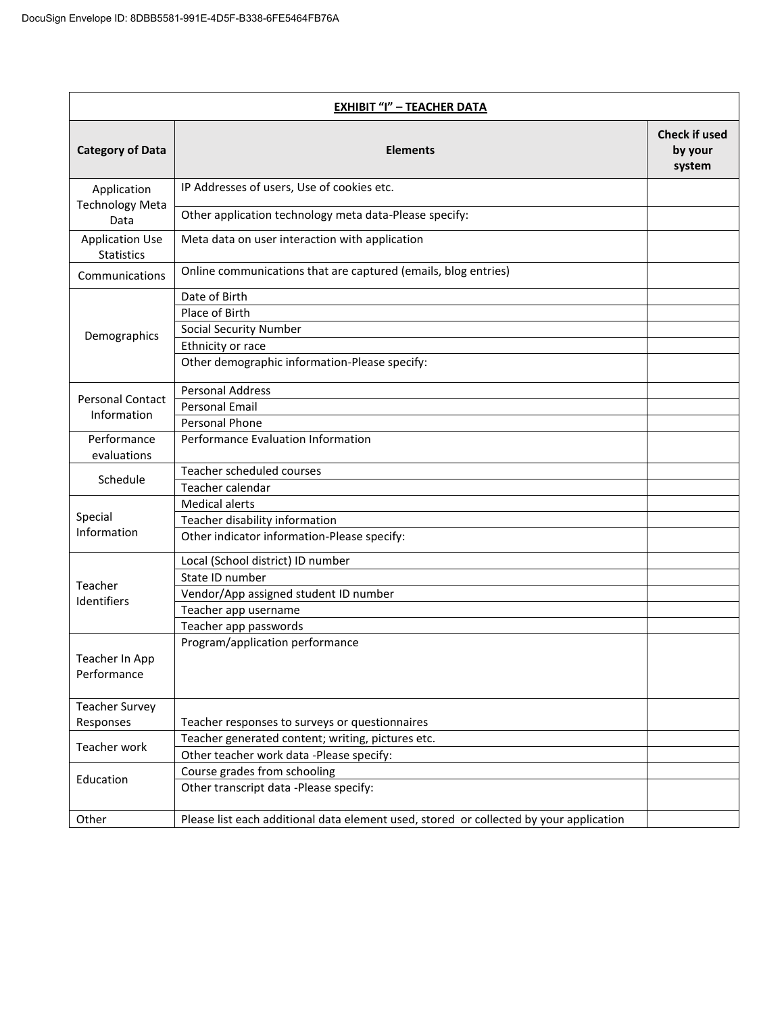| <b>EXHIBIT "I" - TEACHER DATA</b>           |                                                                                        |                                           |
|---------------------------------------------|----------------------------------------------------------------------------------------|-------------------------------------------|
| <b>Category of Data</b>                     | <b>Elements</b>                                                                        | <b>Check if used</b><br>by your<br>system |
| Application<br><b>Technology Meta</b>       | IP Addresses of users, Use of cookies etc.                                             |                                           |
| Data                                        | Other application technology meta data-Please specify:                                 |                                           |
| <b>Application Use</b><br><b>Statistics</b> | Meta data on user interaction with application                                         |                                           |
| Communications                              | Online communications that are captured (emails, blog entries)                         |                                           |
|                                             | Date of Birth                                                                          |                                           |
|                                             | Place of Birth                                                                         |                                           |
| Demographics                                | <b>Social Security Number</b>                                                          |                                           |
|                                             | Ethnicity or race                                                                      |                                           |
|                                             | Other demographic information-Please specify:                                          |                                           |
| <b>Personal Contact</b>                     | <b>Personal Address</b>                                                                |                                           |
| Information                                 | <b>Personal Email</b>                                                                  |                                           |
|                                             | Personal Phone                                                                         |                                           |
| Performance<br>evaluations                  | Performance Evaluation Information                                                     |                                           |
| Schedule                                    | Teacher scheduled courses                                                              |                                           |
|                                             | Teacher calendar                                                                       |                                           |
|                                             | <b>Medical alerts</b>                                                                  |                                           |
| Special                                     | Teacher disability information                                                         |                                           |
| Information                                 | Other indicator information-Please specify:                                            |                                           |
|                                             | Local (School district) ID number                                                      |                                           |
| Teacher                                     | State ID number                                                                        |                                           |
| Identifiers                                 | Vendor/App assigned student ID number                                                  |                                           |
|                                             | Teacher app username                                                                   |                                           |
|                                             | Teacher app passwords                                                                  |                                           |
| Teacher In App<br>Performance               | Program/application performance                                                        |                                           |
| <b>Teacher Survey</b>                       |                                                                                        |                                           |
| Responses                                   | Teacher responses to surveys or questionnaires                                         |                                           |
| Teacher work                                | Teacher generated content; writing, pictures etc.                                      |                                           |
|                                             | Other teacher work data -Please specify:                                               |                                           |
| Education                                   | Course grades from schooling                                                           |                                           |
|                                             | Other transcript data -Please specify:                                                 |                                           |
| Other                                       | Please list each additional data element used, stored or collected by your application |                                           |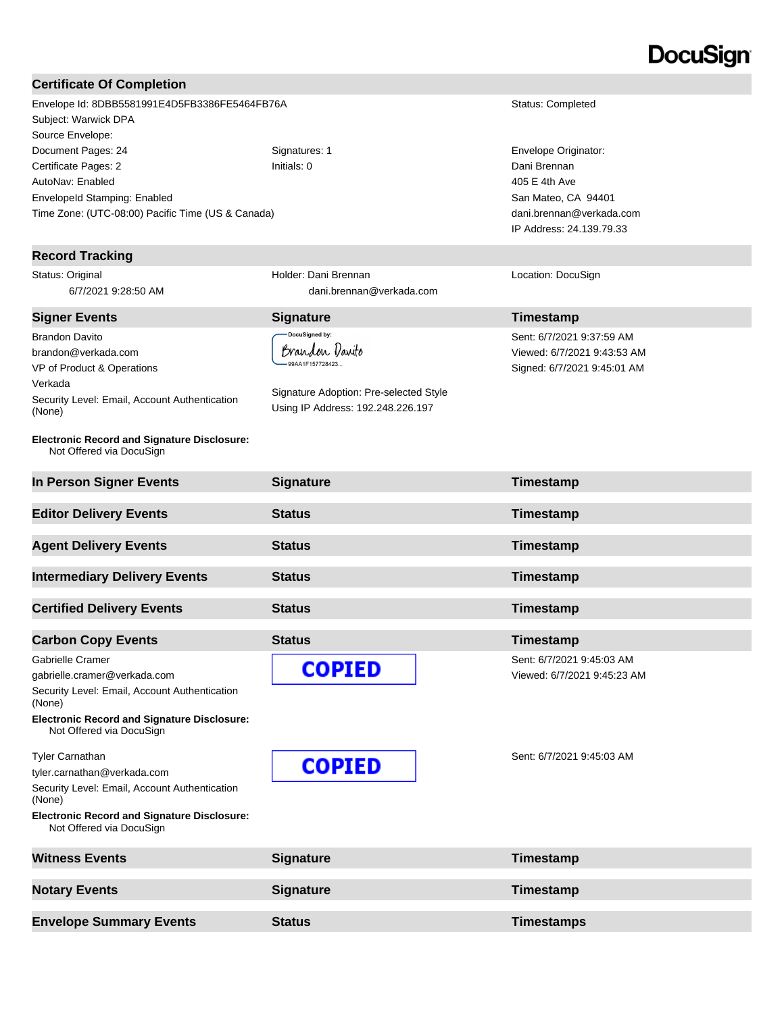# DocuSian

#### **Certificate Of Completion**

Envelope Id: 8DBB5581991E4D5FB3386FE5464FB76A Status: Completed Subject: Warwick DPA Source Envelope: Document Pages: 24 Signatures: 1 Envelope Originator: Certificate Pages: 2 Initials: 0 Dani Brennan AutoNav: Enabled EnvelopeId Stamping: Enabled Time Zone: (UTC-08:00) Pacific Time (US & Canada)

#### **Record Tracking**

Status: Original 6/7/2021 9:28:50 AM

Brandon Davito brandon@verkada.com VP of Product & Operations Verkada Security Level: Email, Account Authentication (None)

#### **Electronic Record and Signature Disclosure:**  Not Offered via DocuSign

**In Person Signer Events Signature Timestamp Editor Delivery Events Status Timestamp Agent Delivery Events Status Timestamp Intermediary Delivery Events Status Timestamp Certified Delivery Events Status Certified Delivery Events Carbon Copy Events Carbon Copy Events Status Timestamp** Gabrielle Cramer Sent: 6/7/2021 9:45:03 AM **COPIED** gabrielle.cramer@verkada.com Viewed: 6/7/2021 9:45:23 AM Security Level: Email, Account Authentication (None) **Electronic Record and Signature Disclosure:**  Not Offered via DocuSign Tyler Carnathan Sent: 6/7/2021 9:45:03 AM **COPIED** tyler.carnathan@verkada.com Security Level: Email, Account Authentication (None) **Electronic Record and Signature Disclosure:**  Not Offered via DocuSign

Holder: Dani Brennan

DocuSigned by: Brandon Vaxito 99AA1F157728423.

Signature Adoption: Pre-selected Style Using IP Address: 192.248.226.197

dani.brennan@verkada.com

**Signer Events Signature Construction Construction Construction Construction Construction Construction Construction Construction Construction Construction Construction Construction Construction Construction Constructio** Sent: 6/7/2021 9:37:59 AM Viewed: 6/7/2021 9:43:53 AM

Signed: 6/7/2021 9:45:01 AM

Location: DocuSign

405 E 4th Ave San Mateo, CA 94401 dani.brennan@verkada.com IP Address: 24.139.79.33

**Witness Events Signature Signature Timestamp Notary Events Signature Signature Timestamp Envelope Summary Events Status Timestamps**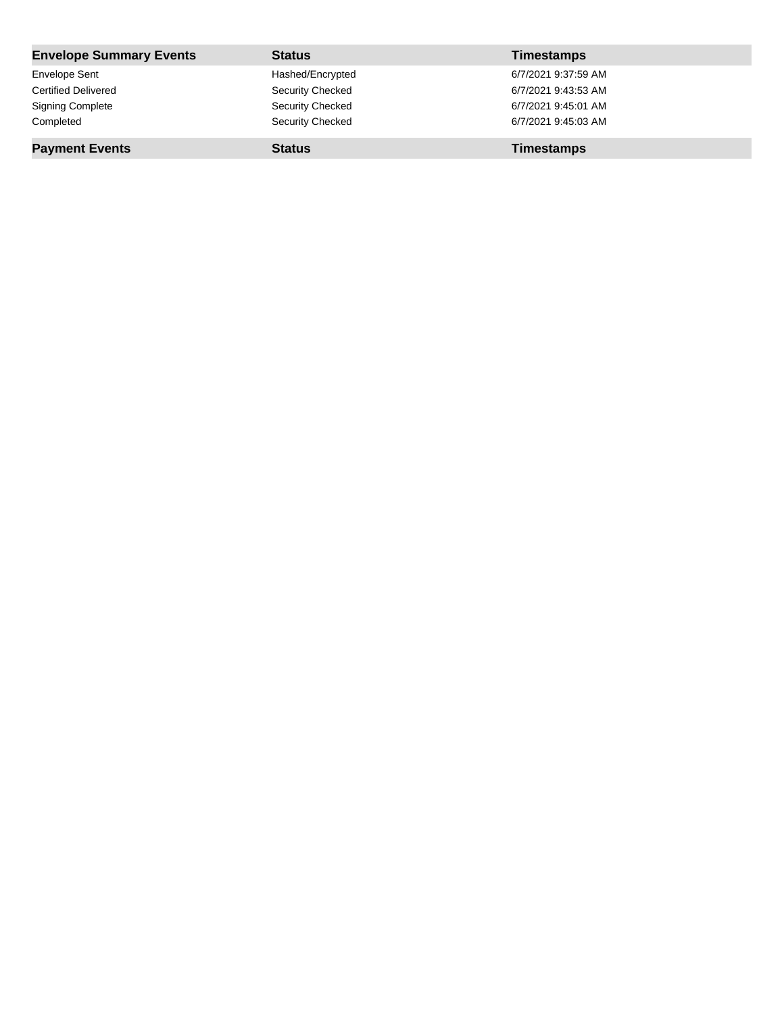| <b>Envelope Summary Events</b> | <b>Status</b>    | <b>Timestamps</b>   |
|--------------------------------|------------------|---------------------|
| Envelope Sent                  | Hashed/Encrypted | 6/7/2021 9:37:59 AM |
| <b>Certified Delivered</b>     | Security Checked | 6/7/2021 9:43:53 AM |
| <b>Signing Complete</b>        | Security Checked | 6/7/2021 9:45:01 AM |
| Completed                      | Security Checked | 6/7/2021 9:45:03 AM |
| <b>Payment Events</b>          | <b>Status</b>    | <b>Timestamps</b>   |